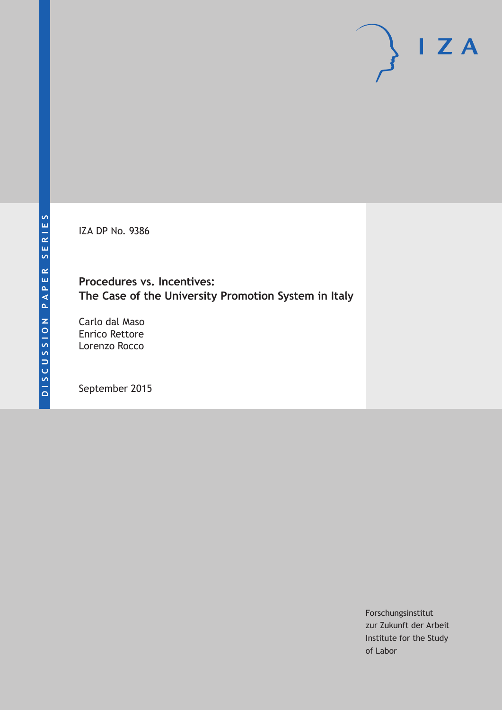IZA DP No. 9386

# **Procedures vs. Incentives: The Case of the University Promotion System in Italy**

Carlo dal Maso Enrico Rettore Lorenzo Rocco

September 2015

Forschungsinstitut zur Zukunft der Arbeit Institute for the Study of Labor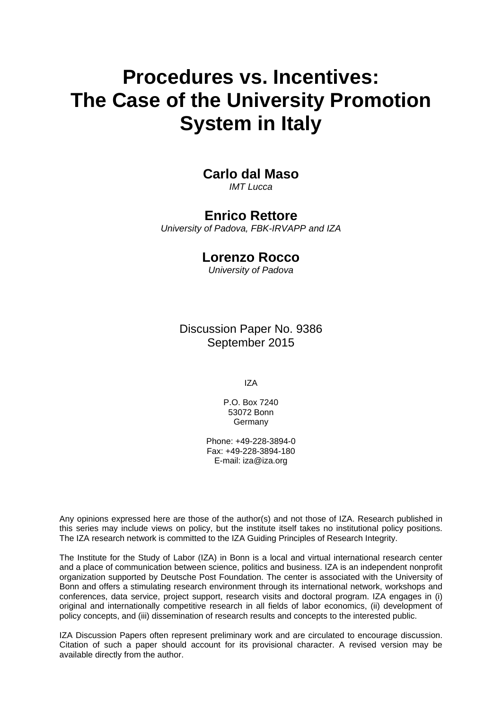# **Procedures vs. Incentives: The Case of the University Promotion System in Italy**

# **Carlo dal Maso**

*IMT Lucca* 

### **Enrico Rettore**

*University of Padova, FBK-IRVAPP and IZA* 

# **Lorenzo Rocco**

*University of Padova*

Discussion Paper No. 9386 September 2015

IZA

P.O. Box 7240 53072 Bonn Germany

Phone: +49-228-3894-0 Fax: +49-228-3894-180 E-mail: iza@iza.org

Any opinions expressed here are those of the author(s) and not those of IZA. Research published in this series may include views on policy, but the institute itself takes no institutional policy positions. The IZA research network is committed to the IZA Guiding Principles of Research Integrity.

The Institute for the Study of Labor (IZA) in Bonn is a local and virtual international research center and a place of communication between science, politics and business. IZA is an independent nonprofit organization supported by Deutsche Post Foundation. The center is associated with the University of Bonn and offers a stimulating research environment through its international network, workshops and conferences, data service, project support, research visits and doctoral program. IZA engages in (i) original and internationally competitive research in all fields of labor economics, (ii) development of policy concepts, and (iii) dissemination of research results and concepts to the interested public.

IZA Discussion Papers often represent preliminary work and are circulated to encourage discussion. Citation of such a paper should account for its provisional character. A revised version may be available directly from the author.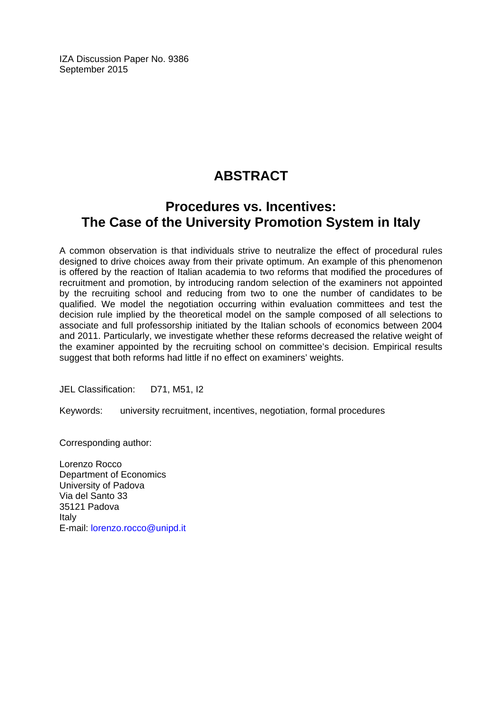IZA Discussion Paper No. 9386 September 2015

# **ABSTRACT**

# **Procedures vs. Incentives: The Case of the University Promotion System in Italy**

A common observation is that individuals strive to neutralize the effect of procedural rules designed to drive choices away from their private optimum. An example of this phenomenon is offered by the reaction of Italian academia to two reforms that modified the procedures of recruitment and promotion, by introducing random selection of the examiners not appointed by the recruiting school and reducing from two to one the number of candidates to be qualified. We model the negotiation occurring within evaluation committees and test the decision rule implied by the theoretical model on the sample composed of all selections to associate and full professorship initiated by the Italian schools of economics between 2004 and 2011. Particularly, we investigate whether these reforms decreased the relative weight of the examiner appointed by the recruiting school on committee's decision. Empirical results suggest that both reforms had little if no effect on examiners' weights.

JEL Classification: D71, M51, I2

Keywords: university recruitment, incentives, negotiation, formal procedures

Corresponding author:

Lorenzo Rocco Department of Economics University of Padova Via del Santo 33 35121 Padova Italy E-mail: lorenzo.rocco@unipd.it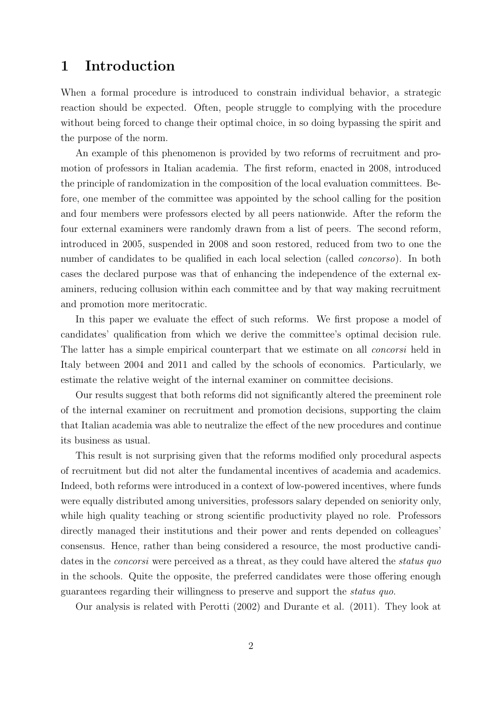# 1 Introduction

When a formal procedure is introduced to constrain individual behavior, a strategic reaction should be expected. Often, people struggle to complying with the procedure without being forced to change their optimal choice, in so doing bypassing the spirit and the purpose of the norm.

An example of this phenomenon is provided by two reforms of recruitment and promotion of professors in Italian academia. The first reform, enacted in 2008, introduced the principle of randomization in the composition of the local evaluation committees. Before, one member of the committee was appointed by the school calling for the position and four members were professors elected by all peers nationwide. After the reform the four external examiners were randomly drawn from a list of peers. The second reform, introduced in 2005, suspended in 2008 and soon restored, reduced from two to one the number of candidates to be qualified in each local selection (called *concorso*). In both cases the declared purpose was that of enhancing the independence of the external examiners, reducing collusion within each committee and by that way making recruitment and promotion more meritocratic.

In this paper we evaluate the effect of such reforms. We first propose a model of candidates' qualification from which we derive the committee's optimal decision rule. The latter has a simple empirical counterpart that we estimate on all *concorsi* held in Italy between 2004 and 2011 and called by the schools of economics. Particularly, we estimate the relative weight of the internal examiner on committee decisions.

Our results suggest that both reforms did not significantly altered the preeminent role of the internal examiner on recruitment and promotion decisions, supporting the claim that Italian academia was able to neutralize the effect of the new procedures and continue its business as usual.

This result is not surprising given that the reforms modified only procedural aspects of recruitment but did not alter the fundamental incentives of academia and academics. Indeed, both reforms were introduced in a context of low-powered incentives, where funds were equally distributed among universities, professors salary depended on seniority only, while high quality teaching or strong scientific productivity played no role. Professors directly managed their institutions and their power and rents depended on colleagues' consensus. Hence, rather than being considered a resource, the most productive candidates in the *concorsi* were perceived as a threat, as they could have altered the *status quo* in the schools. Quite the opposite, the preferred candidates were those offering enough guarantees regarding their willingness to preserve and support the status quo.

Our analysis is related with Perotti (2002) and Durante et al. (2011). They look at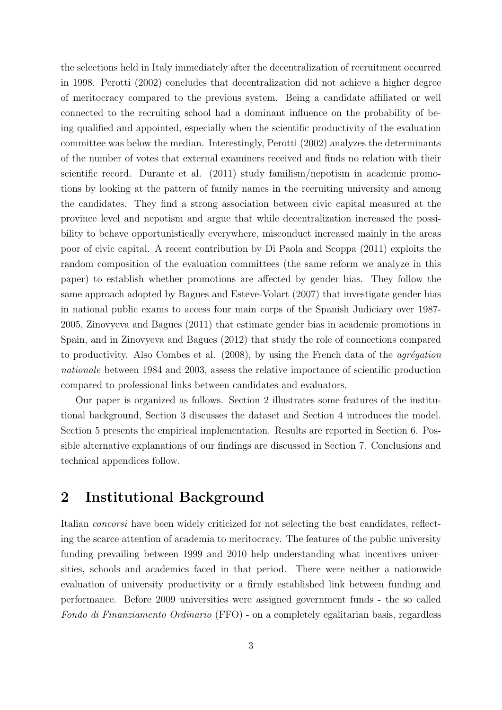the selections held in Italy immediately after the decentralization of recruitment occurred in 1998. Perotti (2002) concludes that decentralization did not achieve a higher degree of meritocracy compared to the previous system. Being a candidate affiliated or well connected to the recruiting school had a dominant influence on the probability of being qualified and appointed, especially when the scientific productivity of the evaluation committee was below the median. Interestingly, Perotti (2002) analyzes the determinants of the number of votes that external examiners received and finds no relation with their scientific record. Durante et al. (2011) study familism/nepotism in academic promotions by looking at the pattern of family names in the recruiting university and among the candidates. They find a strong association between civic capital measured at the province level and nepotism and argue that while decentralization increased the possibility to behave opportunistically everywhere, misconduct increased mainly in the areas poor of civic capital. A recent contribution by Di Paola and Scoppa (2011) exploits the random composition of the evaluation committees (the same reform we analyze in this paper) to establish whether promotions are affected by gender bias. They follow the same approach adopted by Bagues and Esteve-Volart (2007) that investigate gender bias in national public exams to access four main corps of the Spanish Judiciary over 1987- 2005, Zinovyeva and Bagues (2011) that estimate gender bias in academic promotions in Spain, and in Zinovyeva and Bagues (2012) that study the role of connections compared to productivity. Also Combes et al.  $(2008)$ , by using the French data of the *agrégation* nationale between 1984 and 2003, assess the relative importance of scientific production compared to professional links between candidates and evaluators.

Our paper is organized as follows. Section 2 illustrates some features of the institutional background, Section 3 discusses the dataset and Section 4 introduces the model. Section 5 presents the empirical implementation. Results are reported in Section 6. Possible alternative explanations of our findings are discussed in Section 7. Conclusions and technical appendices follow.

# 2 Institutional Background

Italian concorsi have been widely criticized for not selecting the best candidates, reflecting the scarce attention of academia to meritocracy. The features of the public university funding prevailing between 1999 and 2010 help understanding what incentives universities, schools and academics faced in that period. There were neither a nationwide evaluation of university productivity or a firmly established link between funding and performance. Before 2009 universities were assigned government funds - the so called Fondo di Finanziamento Ordinario (FFO) - on a completely egalitarian basis, regardless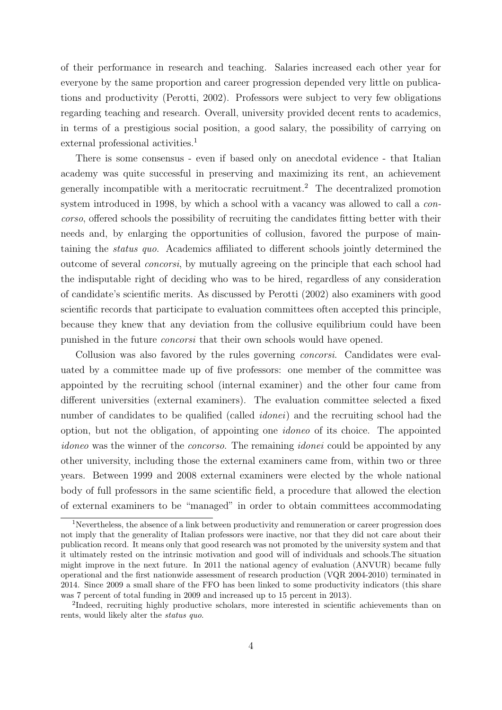of their performance in research and teaching. Salaries increased each other year for everyone by the same proportion and career progression depended very little on publications and productivity (Perotti, 2002). Professors were subject to very few obligations regarding teaching and research. Overall, university provided decent rents to academics, in terms of a prestigious social position, a good salary, the possibility of carrying on external professional activities.<sup>[1](#page-5-0)</sup>

There is some consensus - even if based only on anecdotal evidence - that Italian academy was quite successful in preserving and maximizing its rent, an achievement generally incompatible with a meritocratic recruitment.[2](#page-5-1) The decentralized promotion system introduced in 1998, by which a school with a vacancy was allowed to call a concorso, offered schools the possibility of recruiting the candidates fitting better with their needs and, by enlarging the opportunities of collusion, favored the purpose of maintaining the status quo. Academics affiliated to different schools jointly determined the outcome of several concorsi, by mutually agreeing on the principle that each school had the indisputable right of deciding who was to be hired, regardless of any consideration of candidate's scientific merits. As discussed by Perotti (2002) also examiners with good scientific records that participate to evaluation committees often accepted this principle, because they knew that any deviation from the collusive equilibrium could have been punished in the future concorsi that their own schools would have opened.

Collusion was also favored by the rules governing concorsi. Candidates were evaluated by a committee made up of five professors: one member of the committee was appointed by the recruiting school (internal examiner) and the other four came from different universities (external examiners). The evaluation committee selected a fixed number of candidates to be qualified (called *idonei*) and the recruiting school had the option, but not the obligation, of appointing one idoneo of its choice. The appointed idoneo was the winner of the *concorso*. The remaining *idonei* could be appointed by any other university, including those the external examiners came from, within two or three years. Between 1999 and 2008 external examiners were elected by the whole national body of full professors in the same scientific field, a procedure that allowed the election of external examiners to be "managed" in order to obtain committees accommodating

<span id="page-5-0"></span><sup>&</sup>lt;sup>1</sup>Nevertheless, the absence of a link between productivity and remuneration or career progression does not imply that the generality of Italian professors were inactive, nor that they did not care about their publication record. It means only that good research was not promoted by the university system and that it ultimately rested on the intrinsic motivation and good will of individuals and schools.The situation might improve in the next future. In 2011 the national agency of evaluation (ANVUR) became fully operational and the first nationwide assessment of research production (VQR 2004-2010) terminated in 2014. Since 2009 a small share of the FFO has been linked to some productivity indicators (this share was 7 percent of total funding in 2009 and increased up to 15 percent in 2013).

<span id="page-5-1"></span><sup>&</sup>lt;sup>2</sup>Indeed, recruiting highly productive scholars, more interested in scientific achievements than on rents, would likely alter the status quo.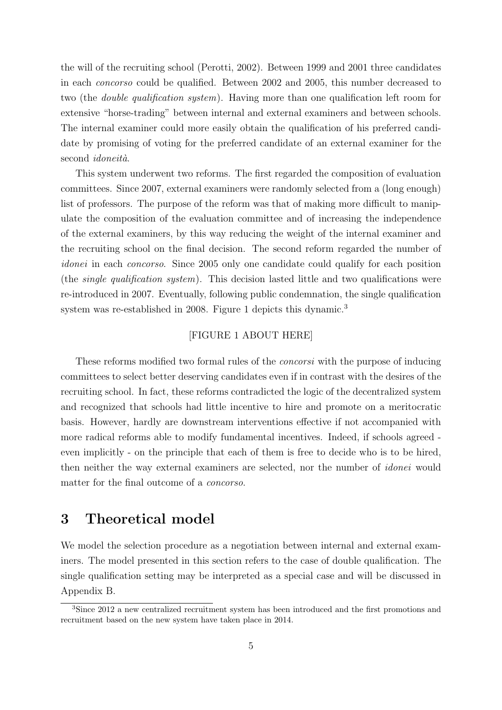the will of the recruiting school (Perotti, 2002). Between 1999 and 2001 three candidates in each concorso could be qualified. Between 2002 and 2005, this number decreased to two (the double qualification system). Having more than one qualification left room for extensive "horse-trading" between internal and external examiners and between schools. The internal examiner could more easily obtain the qualification of his preferred candidate by promising of voting for the preferred candidate of an external examiner for the second *idoneità*.

This system underwent two reforms. The first regarded the composition of evaluation committees. Since 2007, external examiners were randomly selected from a (long enough) list of professors. The purpose of the reform was that of making more difficult to manipulate the composition of the evaluation committee and of increasing the independence of the external examiners, by this way reducing the weight of the internal examiner and the recruiting school on the final decision. The second reform regarded the number of idonei in each concorso. Since 2005 only one candidate could qualify for each position (the single qualification system). This decision lasted little and two qualifications were re-introduced in 2007. Eventually, following public condemnation, the single qualification system was re-established in 2008. Figure 1 depicts this dynamic.<sup>[3](#page-6-0)</sup>

#### [FIGURE 1 ABOUT HERE]

These reforms modified two formal rules of the concorsi with the purpose of inducing committees to select better deserving candidates even if in contrast with the desires of the recruiting school. In fact, these reforms contradicted the logic of the decentralized system and recognized that schools had little incentive to hire and promote on a meritocratic basis. However, hardly are downstream interventions effective if not accompanied with more radical reforms able to modify fundamental incentives. Indeed, if schools agreed even implicitly - on the principle that each of them is free to decide who is to be hired, then neither the way external examiners are selected, nor the number of idonei would matter for the final outcome of a concorso.

### 3 Theoretical model

We model the selection procedure as a negotiation between internal and external examiners. The model presented in this section refers to the case of double qualification. The single qualification setting may be interpreted as a special case and will be discussed in Appendix B.

<span id="page-6-0"></span><sup>3</sup>Since 2012 a new centralized recruitment system has been introduced and the first promotions and recruitment based on the new system have taken place in 2014.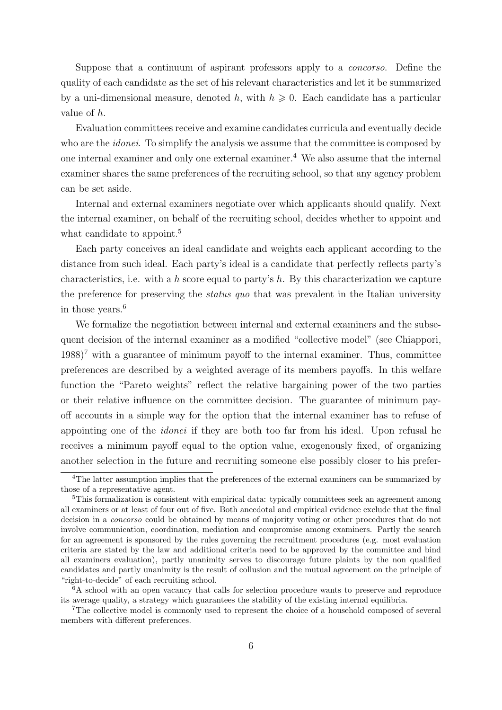Suppose that a continuum of aspirant professors apply to a concorso. Define the quality of each candidate as the set of his relevant characteristics and let it be summarized by a uni-dimensional measure, denoted h, with  $h \geq 0$ . Each candidate has a particular value of h.

Evaluation committees receive and examine candidates curricula and eventually decide who are the *idonei*. To simplify the analysis we assume that the committee is composed by one internal examiner and only one external examiner.[4](#page-7-0) We also assume that the internal examiner shares the same preferences of the recruiting school, so that any agency problem can be set aside.

Internal and external examiners negotiate over which applicants should qualify. Next the internal examiner, on behalf of the recruiting school, decides whether to appoint and what candidate to appoint.<sup>[5](#page-7-1)</sup>

Each party conceives an ideal candidate and weights each applicant according to the distance from such ideal. Each party's ideal is a candidate that perfectly reflects party's characteristics, i.e. with a h score equal to party's h. By this characterization we capture the preference for preserving the *status quo* that was prevalent in the Italian university in those years.[6](#page-7-2)

We formalize the negotiation between internal and external examiners and the subsequent decision of the internal examiner as a modified "collective model" (see Chiappori,  $1988$ <sup>[7](#page-7-3)</sup> with a guarantee of minimum payoff to the internal examiner. Thus, committee preferences are described by a weighted average of its members payoffs. In this welfare function the "Pareto weights" reflect the relative bargaining power of the two parties or their relative influence on the committee decision. The guarantee of minimum payoff accounts in a simple way for the option that the internal examiner has to refuse of appointing one of the idonei if they are both too far from his ideal. Upon refusal he receives a minimum payoff equal to the option value, exogenously fixed, of organizing another selection in the future and recruiting someone else possibly closer to his prefer-

<span id="page-7-0"></span><sup>&</sup>lt;sup>4</sup>The latter assumption implies that the preferences of the external examiners can be summarized by those of a representative agent.

<span id="page-7-1"></span><sup>&</sup>lt;sup>5</sup>This formalization is consistent with empirical data: typically committees seek an agreement among all examiners or at least of four out of five. Both anecdotal and empirical evidence exclude that the final decision in a *concorso* could be obtained by means of majority voting or other procedures that do not involve communication, coordination, mediation and compromise among examiners. Partly the search for an agreement is sponsored by the rules governing the recruitment procedures (e.g. most evaluation criteria are stated by the law and additional criteria need to be approved by the committee and bind all examiners evaluation), partly unanimity serves to discourage future plaints by the non qualified candidates and partly unanimity is the result of collusion and the mutual agreement on the principle of "right-to-decide" of each recruiting school.

<span id="page-7-2"></span><sup>&</sup>lt;sup>6</sup>A school with an open vacancy that calls for selection procedure wants to preserve and reproduce its average quality, a strategy which guarantees the stability of the existing internal equilibria.

<span id="page-7-3"></span><sup>7</sup>The collective model is commonly used to represent the choice of a household composed of several members with different preferences.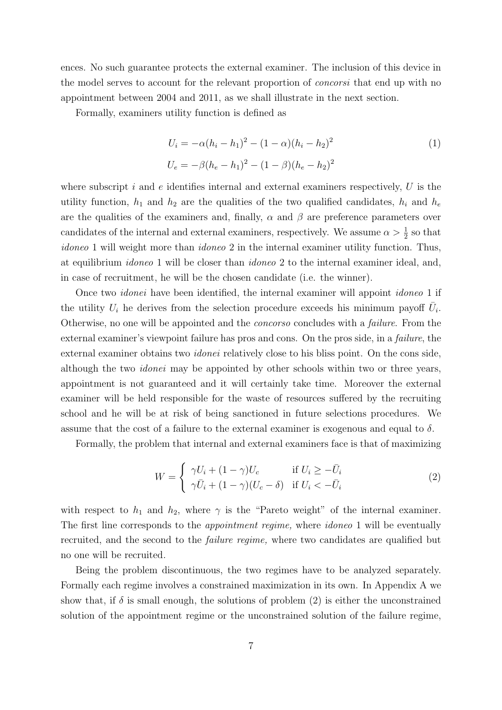ences. No such guarantee protects the external examiner. The inclusion of this device in the model serves to account for the relevant proportion of concorsi that end up with no appointment between 2004 and 2011, as we shall illustrate in the next section.

Formally, examiners utility function is defined as

$$
U_i = -\alpha (h_i - h_1)^2 - (1 - \alpha)(h_i - h_2)^2
$$
  
\n
$$
U_e = -\beta (h_e - h_1)^2 - (1 - \beta)(h_e - h_2)^2
$$
\n(1)

where subscript i and  $e$  identifies internal and external examiners respectively, U is the utility function,  $h_1$  and  $h_2$  are the qualities of the two qualified candidates,  $h_i$  and  $h_e$ are the qualities of the examiners and, finally,  $\alpha$  and  $\beta$  are preference parameters over candidates of the internal and external examiners, respectively. We assume  $\alpha > \frac{1}{2}$  so that idoneo 1 will weight more than *idoneo* 2 in the internal examiner utility function. Thus, at equilibrium idoneo 1 will be closer than idoneo 2 to the internal examiner ideal, and, in case of recruitment, he will be the chosen candidate (i.e. the winner).

Once two idonei have been identified, the internal examiner will appoint idoneo 1 if the utility  $U_i$  he derives from the selection procedure exceeds his minimum payoff  $\bar{U}_i$ . Otherwise, no one will be appointed and the *concorso* concludes with a *failure*. From the external examiner's viewpoint failure has pros and cons. On the pros side, in a failure, the external examiner obtains two idonei relatively close to his bliss point. On the cons side, although the two idonei may be appointed by other schools within two or three years, appointment is not guaranteed and it will certainly take time. Moreover the external examiner will be held responsible for the waste of resources suffered by the recruiting school and he will be at risk of being sanctioned in future selections procedures. We assume that the cost of a failure to the external examiner is exogenous and equal to  $\delta$ .

Formally, the problem that internal and external examiners face is that of maximizing

<span id="page-8-0"></span>
$$
W = \begin{cases} \gamma U_i + (1 - \gamma)U_c & \text{if } U_i \ge -\bar{U}_i \\ \gamma \bar{U}_i + (1 - \gamma)(U_c - \delta) & \text{if } U_i < -\bar{U}_i \end{cases}
$$
 (2)

with respect to  $h_1$  and  $h_2$ , where  $\gamma$  is the "Pareto weight" of the internal examiner. The first line corresponds to the *appointment regime*, where *idoneo* 1 will be eventually recruited, and the second to the failure regime, where two candidates are qualified but no one will be recruited.

Being the problem discontinuous, the two regimes have to be analyzed separately. Formally each regime involves a constrained maximization in its own. In Appendix A we show that, if  $\delta$  is small enough, the solutions of problem [\(2\)](#page-8-0) is either the unconstrained solution of the appointment regime or the unconstrained solution of the failure regime,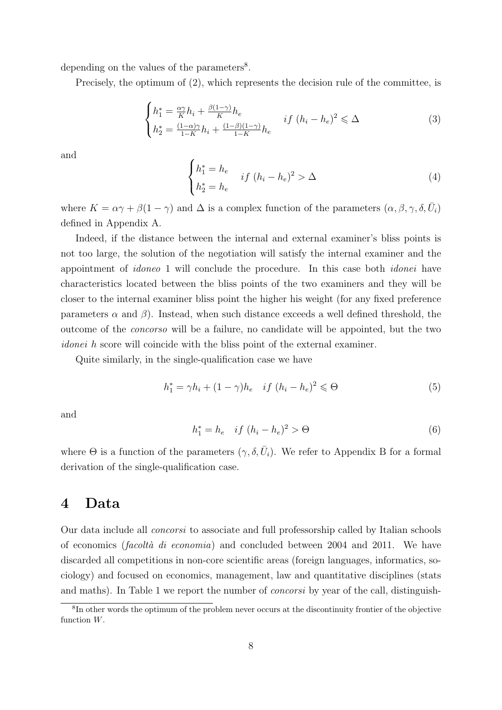depending on the values of the parameters<sup>[8](#page-9-0)</sup>.

Precisely, the optimum of [\(2\)](#page-8-0), which represents the decision rule of the committee, is

$$
\begin{cases}\nh_1^* = \frac{\alpha \gamma}{K} h_i + \frac{\beta(1-\gamma)}{K} h_e \\
h_2^* = \frac{(1-\alpha)\gamma}{1-K} h_i + \frac{(1-\beta)(1-\gamma)}{1-K} h_e\n\end{cases} \quad if \ (h_i - h_e)^2 \leq \Delta
$$
\n(3)

and

$$
\begin{cases}\nh_1^* = h_e & \text{if } (h_i - h_e)^2 > \Delta \\
h_2^* = h_e\n\end{cases} \tag{4}
$$

where  $K = \alpha \gamma + \beta(1 - \gamma)$  and  $\Delta$  is a complex function of the parameters  $(\alpha, \beta, \gamma, \delta, \bar{U}_i)$ defined in Appendix A.

Indeed, if the distance between the internal and external examiner's bliss points is not too large, the solution of the negotiation will satisfy the internal examiner and the appointment of idoneo 1 will conclude the procedure. In this case both idonei have characteristics located between the bliss points of the two examiners and they will be closer to the internal examiner bliss point the higher his weight (for any fixed preference parameters  $\alpha$  and  $\beta$ ). Instead, when such distance exceeds a well defined threshold, the outcome of the concorso will be a failure, no candidate will be appointed, but the two idonei h score will coincide with the bliss point of the external examiner.

Quite similarly, in the single-qualification case we have

<span id="page-9-1"></span>
$$
h_1^* = \gamma h_i + (1 - \gamma)h_e \quad \text{if } (h_i - h_e)^2 \leq \Theta \tag{5}
$$

and

<span id="page-9-2"></span>
$$
h_1^* = h_e \quad \text{if } (h_i - h_e)^2 > \Theta \tag{6}
$$

where  $\Theta$  is a function of the parameters  $(\gamma, \delta, \bar{U}_i)$ . We refer to Appendix B for a formal derivation of the single-qualification case.

### 4 Data

Our data include all concorsi to associate and full professorship called by Italian schools of economics (*facoltà di economia*) and concluded between 2004 and 2011. We have discarded all competitions in non-core scientific areas (foreign languages, informatics, sociology) and focused on economics, management, law and quantitative disciplines (stats and maths). In Table 1 we report the number of concorsi by year of the call, distinguish-

<span id="page-9-0"></span><sup>8</sup> In other words the optimum of the problem never occurs at the discontinuity frontier of the objective function W.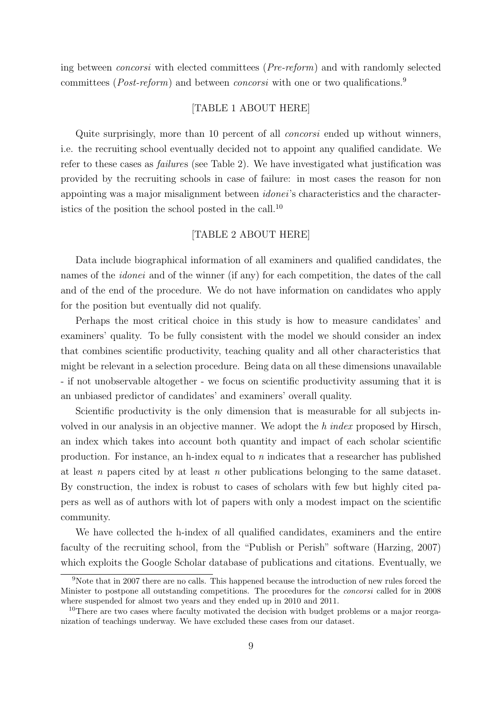ing between concorsi with elected committees (Pre-reform) and with randomly selected committees (*Post-reform*) and between *concorsi* with one or two qualifications.<sup>[9](#page-10-0)</sup>

#### [TABLE 1 ABOUT HERE]

Quite surprisingly, more than 10 percent of all concorsi ended up without winners, i.e. the recruiting school eventually decided not to appoint any qualified candidate. We refer to these cases as failures (see Table 2). We have investigated what justification was provided by the recruiting schools in case of failure: in most cases the reason for non appointing was a major misalignment between idonei's characteristics and the characteristics of the position the school posted in the call.[10](#page-10-1)

#### [TABLE 2 ABOUT HERE]

Data include biographical information of all examiners and qualified candidates, the names of the *idonei* and of the winner (if any) for each competition, the dates of the call and of the end of the procedure. We do not have information on candidates who apply for the position but eventually did not qualify.

Perhaps the most critical choice in this study is how to measure candidates' and examiners' quality. To be fully consistent with the model we should consider an index that combines scientific productivity, teaching quality and all other characteristics that might be relevant in a selection procedure. Being data on all these dimensions unavailable - if not unobservable altogether - we focus on scientific productivity assuming that it is an unbiased predictor of candidates' and examiners' overall quality.

Scientific productivity is the only dimension that is measurable for all subjects involved in our analysis in an objective manner. We adopt the h index proposed by Hirsch, an index which takes into account both quantity and impact of each scholar scientific production. For instance, an h-index equal to n indicates that a researcher has published at least n papers cited by at least n other publications belonging to the same dataset. By construction, the index is robust to cases of scholars with few but highly cited papers as well as of authors with lot of papers with only a modest impact on the scientific community.

We have collected the h-index of all qualified candidates, examiners and the entire faculty of the recruiting school, from the "Publish or Perish" software (Harzing, 2007) which exploits the Google Scholar database of publications and citations. Eventually, we

<span id="page-10-0"></span><sup>9</sup>Note that in 2007 there are no calls. This happened because the introduction of new rules forced the Minister to postpone all outstanding competitions. The procedures for the concorsi called for in 2008 where suspended for almost two years and they ended up in 2010 and 2011.

<span id="page-10-1"></span><sup>&</sup>lt;sup>10</sup>There are two cases where faculty motivated the decision with budget problems or a major reorganization of teachings underway. We have excluded these cases from our dataset.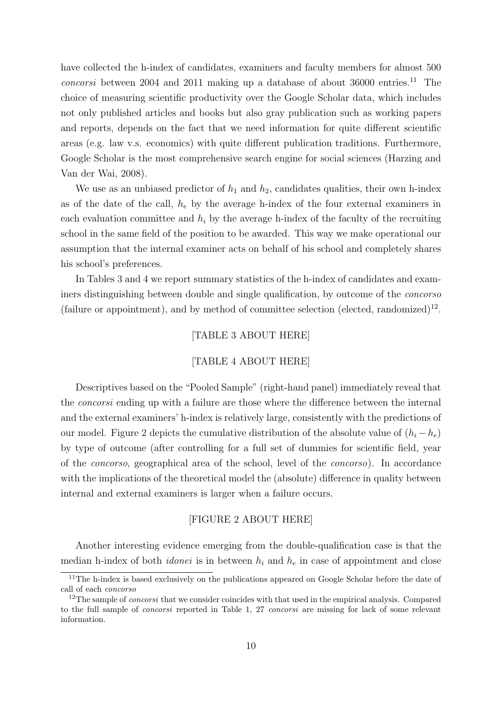have collected the h-index of candidates, examiners and faculty members for almost 500  $concosi$  between 2004 and 20[11](#page-11-0) making up a database of about 36000 entries.<sup>11</sup> The choice of measuring scientific productivity over the Google Scholar data, which includes not only published articles and books but also gray publication such as working papers and reports, depends on the fact that we need information for quite different scientific areas (e.g. law v.s. economics) with quite different publication traditions. Furthermore, Google Scholar is the most comprehensive search engine for social sciences (Harzing and Van der Wai, 2008).

We use as an unbiased predictor of  $h_1$  and  $h_2$ , candidates qualities, their own h-index as of the date of the call,  $h_e$  by the average h-index of the four external examiners in each evaluation committee and  $h_i$  by the average h-index of the faculty of the recruiting school in the same field of the position to be awarded. This way we make operational our assumption that the internal examiner acts on behalf of his school and completely shares his school's preferences.

In Tables 3 and 4 we report summary statistics of the h-index of candidates and examiners distinguishing between double and single qualification, by outcome of the concorso (failure or appointment), and by method of committee selection (elected, randomized)<sup>[12](#page-11-1)</sup>.

#### [TABLE 3 ABOUT HERE]

#### [TABLE 4 ABOUT HERE]

Descriptives based on the "Pooled Sample" (right-hand panel) immediately reveal that the concorsi ending up with a failure are those where the difference between the internal and the external examiners' h-index is relatively large, consistently with the predictions of our model. Figure 2 depicts the cumulative distribution of the absolute value of  $(h_i - h_e)$ by type of outcome (after controlling for a full set of dummies for scientific field, year of the concorso, geographical area of the school, level of the concorso). In accordance with the implications of the theoretical model the (absolute) difference in quality between internal and external examiners is larger when a failure occurs.

#### [FIGURE 2 ABOUT HERE]

Another interesting evidence emerging from the double-qualification case is that the median h-index of both *idonei* is in between  $h_i$  and  $h_e$  in case of appointment and close

<span id="page-11-0"></span><sup>&</sup>lt;sup>11</sup>The h-index is based exclusively on the publications appeared on Google Scholar before the date of call of each concorso

<span id="page-11-1"></span><sup>&</sup>lt;sup>12</sup>The sample of *concorsi* that we consider coincides with that used in the empirical analysis. Compared to the full sample of concorsi reported in Table 1, 27 concorsi are missing for lack of some relevant information.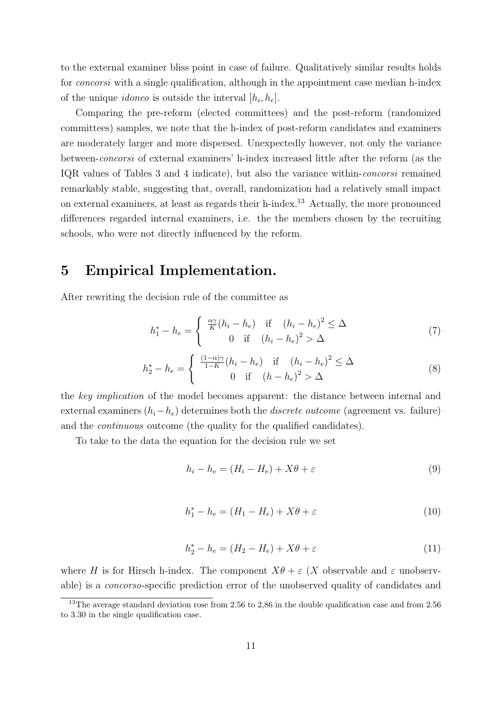to the external examiner bliss point in case of failure. Qualitatively similar results holds for *concorsi* with a single qualification, although in the appointment case median h-index of the unique *idoneo* is outside the interval  $[h_i, h_e]$ .

Comparing the pre-reform (elected committees) and the post-reform (randomized committees) samples, we note that the h-index of post-reform candidates and examiners are moderately larger and more dispersed. Unexpectedly however, not only the variance between-concorsi of external examiners' h-index increased little after the reform (as the IQR values of Tables 3 and 4 indicate), but also the variance within-concorsi remained remarkably stable, suggesting that, overall, randomization had a relatively small impact on external examiners, at least as regards their h-index.[13](#page-12-0) Actually, the more pronounced differences regarded internal examiners, i.e. the the members chosen by the recruiting schools, who were not directly influenced by the reform.

# 5 Empirical Implementation.

After rewriting the decision rule of the committee as

<span id="page-12-3"></span>
$$
h_1^* - h_e = \begin{cases} \frac{\alpha \gamma}{K} (h_i - h_e) & \text{if } (h_i - h_e)^2 \le \Delta \\ 0 & \text{if } (h_i - h_e)^2 > \Delta \end{cases}
$$
(7)

<span id="page-12-4"></span>
$$
h_2^* - h_e = \begin{cases} \frac{(1-\alpha)\gamma}{1-K}(h_i - h_e) & \text{if } (h_i - h_e)^2 \le \Delta\\ 0 & \text{if } (h - h_e)^2 > \Delta \end{cases}
$$
 (8)

the key implication of the model becomes apparent: the distance between internal and external examiners  $(h_i-h_e)$  determines both the *discrete outcome* (agreement vs. failure) and the continuous outcome (the quality for the qualified candidates).

To take to the data the equation for the decision rule we set

<span id="page-12-1"></span>
$$
h_i - h_e = (H_i - H_e) + X\theta + \varepsilon \tag{9}
$$

$$
h_1^* - h_e = (H_1 - H_e) + X\theta + \varepsilon \tag{10}
$$

<span id="page-12-2"></span>
$$
h_2^* - h_e = (H_2 - H_e) + X\theta + \varepsilon \tag{11}
$$

where H is for Hirsch h-index. The component  $X\theta + \varepsilon$  (X observable and  $\varepsilon$  unobservable) is a concorso-specific prediction error of the unobserved quality of candidates and

<span id="page-12-0"></span><sup>&</sup>lt;sup>13</sup>The average standard deviation rose from 2.56 to 2,86 in the double qualification case and from 2.56 to 3.30 in the single qualification case.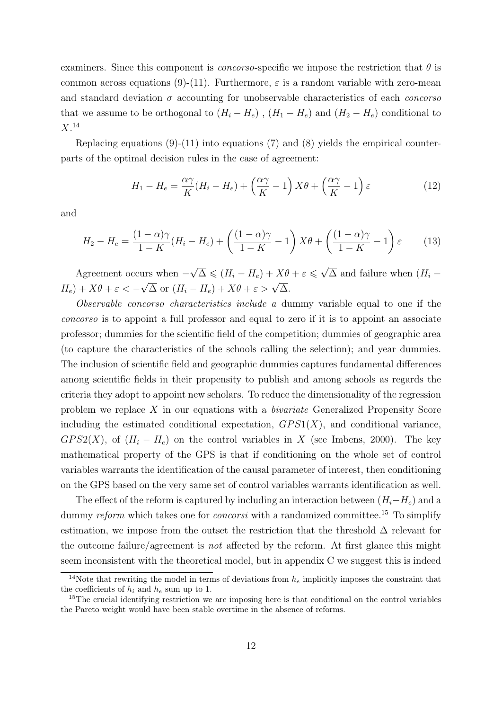examiners. Since this component is *concorso*-specific we impose the restriction that  $\theta$  is common across equations (9)-(11). Furthermore,  $\varepsilon$  is a random variable with zero-mean and standard deviation  $\sigma$  accounting for unobservable characteristics of each *concorso* that we assume to be orthogonal to  $(H_i - H_e)$ ,  $(H_1 - H_e)$  and  $(H_2 - H_e)$  conditional to  $X.^{14}$  $X.^{14}$  $X.^{14}$ 

Replacing equations  $(9)-(11)$  $(9)-(11)$  into equations  $(7)$  and  $(8)$  yields the empirical counterparts of the optimal decision rules in the case of agreement:

$$
H_1 - H_e = \frac{\alpha \gamma}{K} (H_i - H_e) + \left(\frac{\alpha \gamma}{K} - 1\right) X\theta + \left(\frac{\alpha \gamma}{K} - 1\right) \varepsilon \tag{12}
$$

and

$$
H_2 - H_e = \frac{(1 - \alpha)\gamma}{1 - K}(H_i - H_e) + \left(\frac{(1 - \alpha)\gamma}{1 - K} - 1\right)X\theta + \left(\frac{(1 - \alpha)\gamma}{1 - K} - 1\right)\varepsilon\tag{13}
$$

Agreement occurs when −  $\sqrt{\Delta} \leqslant (H_i - H_e) + X\theta + \varepsilon \leqslant \sqrt{\frac{\Delta}{\Delta}}$  $\Delta$  and failure when  $(H_i H_e$ ) +  $X\theta + \varepsilon < \sqrt{\Delta}$  or  $(H_i - H_e) + X\theta + \epsilon > \sqrt{\Delta}$ .

Observable concorso characteristics include a dummy variable equal to one if the concorso is to appoint a full professor and equal to zero if it is to appoint an associate professor; dummies for the scientific field of the competition; dummies of geographic area (to capture the characteristics of the schools calling the selection); and year dummies. The inclusion of scientific field and geographic dummies captures fundamental differences among scientific fields in their propensity to publish and among schools as regards the criteria they adopt to appoint new scholars. To reduce the dimensionality of the regression problem we replace X in our equations with a bivariate Generalized Propensity Score including the estimated conditional expectation,  $GPS1(X)$ , and conditional variance,  $GPS2(X)$ , of  $(H_i - H_e)$  on the control variables in X (see Imbens, 2000). The key mathematical property of the GPS is that if conditioning on the whole set of control variables warrants the identification of the causal parameter of interest, then conditioning on the GPS based on the very same set of control variables warrants identification as well.

The effect of the reform is captured by including an interaction between  $(H_i-H_e)$  and a dummy reform which takes one for *concorsi* with a randomized committee.<sup>[15](#page-13-1)</sup> To simplify estimation, we impose from the outset the restriction that the threshold  $\Delta$  relevant for the outcome failure/agreement is *not* affected by the reform. At first glance this might seem inconsistent with the theoretical model, but in appendix C we suggest this is indeed

<span id="page-13-0"></span><sup>&</sup>lt;sup>14</sup>Note that rewriting the model in terms of deviations from  $h_e$  implicitly imposes the constraint that the coefficients of  $h_i$  and  $h_e$  sum up to 1.

<span id="page-13-1"></span><sup>&</sup>lt;sup>15</sup>The crucial identifying restriction we are imposing here is that conditional on the control variables the Pareto weight would have been stable overtime in the absence of reforms.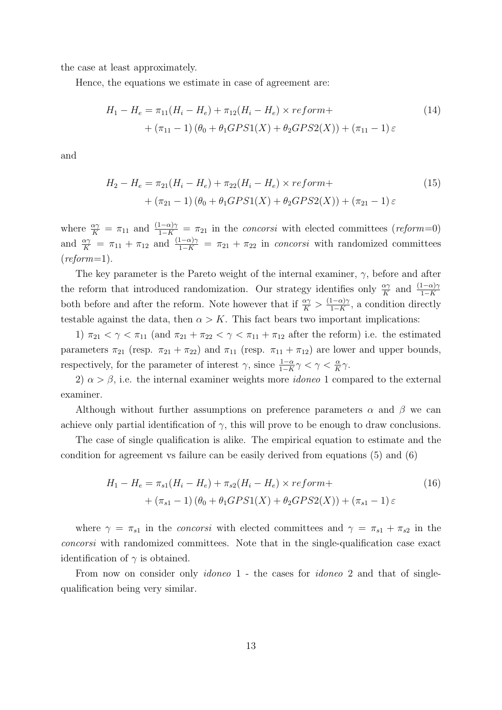the case at least approximately.

Hence, the equations we estimate in case of agreement are:

<span id="page-14-0"></span>
$$
H_1 - H_e = \pi_{11}(H_i - H_e) + \pi_{12}(H_i - H_e) \times reform+
$$
  
+  $(\pi_{11} - 1) (\theta_0 + \theta_1 GPS1(X) + \theta_2 GPS2(X)) + (\pi_{11} - 1) \varepsilon$  (14)

and

<span id="page-14-1"></span>
$$
H_2 - H_e = \pi_{21}(H_i - H_e) + \pi_{22}(H_i - H_e) \times reform+
$$
  
+  $(\pi_{21} - 1) (\theta_0 + \theta_1 GPS1(X) + \theta_2 GPS2(X)) + (\pi_{21} - 1) \varepsilon$  (15)

where  $\frac{\alpha\gamma}{K} = \pi_{11}$  and  $\frac{(1-\alpha)\gamma}{1-K} = \pi_{21}$  in the *concorsi* with elected committees (*reform*=0) and  $\frac{\alpha\gamma}{K} = \pi_{11} + \pi_{12}$  and  $\frac{(1-\alpha)\gamma}{1-K} = \pi_{21} + \pi_{22}$  in concorsi with randomized committees  $(reform=1).$ 

The key parameter is the Pareto weight of the internal examiner,  $\gamma$ , before and after the reform that introduced randomization. Our strategy identifies only  $\frac{\alpha \gamma}{K}$  and  $\frac{(1-\alpha)\gamma}{1-K}$ both before and after the reform. Note however that if  $\frac{\alpha \gamma}{K} > \frac{(1-\alpha)\gamma}{1-K}$  $\frac{1-\alpha\gamma}{1-K}$ , a condition directly testable against the data, then  $\alpha > K$ . This fact bears two important implications:

1)  $\pi_{21} < \gamma < \pi_{11}$  (and  $\pi_{21} + \pi_{22} < \gamma < \pi_{11} + \pi_{12}$  after the reform) i.e. the estimated parameters  $\pi_{21}$  (resp.  $\pi_{21} + \pi_{22}$ ) and  $\pi_{11}$  (resp.  $\pi_{11} + \pi_{12}$ ) are lower and upper bounds, respectively, for the parameter of interest  $\gamma$ , since  $\frac{1-\alpha}{1-K}\gamma < \gamma < \frac{\alpha}{K}\gamma$ .

2)  $\alpha > \beta$ , i.e. the internal examiner weights more *idoneo* 1 compared to the external examiner.

Although without further assumptions on preference parameters  $\alpha$  and  $\beta$  we can achieve only partial identification of  $\gamma$ , this will prove to be enough to draw conclusions.

The case of single qualification is alike. The empirical equation to estimate and the condition for agreement vs failure can be easily derived from equations [\(5\)](#page-9-1) and [\(6\)](#page-9-2)

<span id="page-14-2"></span>
$$
H_1 - H_e = \pi_{s1}(H_i - H_e) + \pi_{s2}(H_i - H_e) \times reform+
$$
  
+  $(\pi_{s1} - 1) (\theta_0 + \theta_1 GPS1(X) + \theta_2 GPS2(X)) + (\pi_{s1} - 1) \varepsilon$  (16)

where  $\gamma = \pi_{s1}$  in the *concorsi* with elected committees and  $\gamma = \pi_{s1} + \pi_{s2}$  in the concorsi with randomized committees. Note that in the single-qualification case exact identification of  $\gamma$  is obtained.

From now on consider only *idoneo* 1 - the cases for *idoneo* 2 and that of singlequalification being very similar.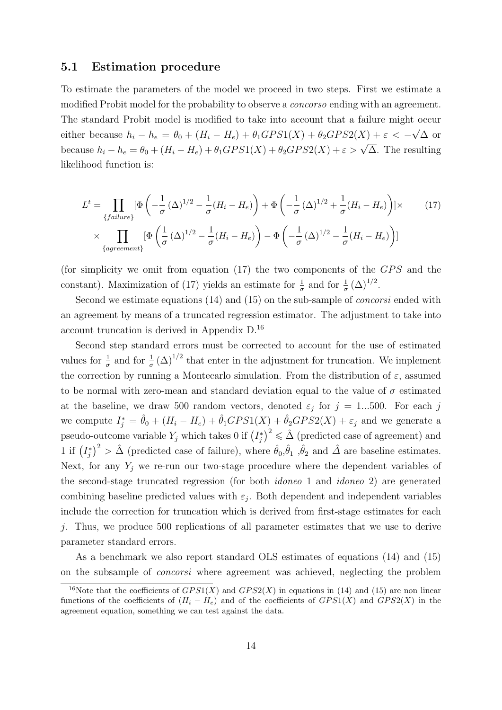#### 5.1 Estimation procedure

To estimate the parameters of the model we proceed in two steps. First we estimate a modified Probit model for the probability to observe a *concorso* ending with an agreement. The standard Probit model is modified to take into account that a failure might occur either because  $h_i - h_e = \theta_0 + (H_i - H_e) + \theta_1 GPS1(X) + \theta_2 GPS2(X) + \varepsilon < -$ √ ∆ or because  $h_i - h_e = \theta_0 + (H_i - H_e) + \theta_1 GPS1(X) + \theta_2 GPS2(X) + \varepsilon > \sqrt{\Delta}$ . The resulting likelihood function is:

<span id="page-15-0"></span>
$$
L^{t} = \prod_{\{failure\}} [\Phi\left(-\frac{1}{\sigma} (\Delta)^{1/2} - \frac{1}{\sigma} (H_i - H_e)\right) + \Phi\left(-\frac{1}{\sigma} (\Delta)^{1/2} + \frac{1}{\sigma} (H_i - H_e)\right)] \times \qquad (17)
$$
  
 
$$
\times \prod_{\{agreement\}} [\Phi\left(\frac{1}{\sigma} (\Delta)^{1/2} - \frac{1}{\sigma} (H_i - H_e)\right) - \Phi\left(-\frac{1}{\sigma} (\Delta)^{1/2} - \frac{1}{\sigma} (H_i - H_e)\right)]
$$

(for simplicity we omit from equation  $(17)$  the two components of the  $GPS$  and the constant). Maximization of [\(17\)](#page-15-0) yields an estimate for  $\frac{1}{\sigma}$  and for  $\frac{1}{\sigma} (\Delta)^{1/2}$ .

Second we estimate equations [\(14\)](#page-14-0) and [\(15\)](#page-14-1) on the sub-sample of *concorsi* ended with an agreement by means of a truncated regression estimator. The adjustment to take into account truncation is derived in Appendix D.[16](#page-15-1)

Second step standard errors must be corrected to account for the use of estimated values for  $\frac{1}{\sigma}$  and for  $\frac{1}{\sigma}(\Delta)^{1/2}$  that enter in the adjustment for truncation. We implement the correction by running a Montecarlo simulation. From the distribution of  $\varepsilon$ , assumed to be normal with zero-mean and standard deviation equal to the value of  $\sigma$  estimated at the baseline, we draw 500 random vectors, denoted  $\varepsilon_j$  for  $j = 1...500$ . For each j we compute  $I_j^* = \hat{\theta}_0 + (H_i - H_e) + \hat{\theta}_1 GPS1(X) + \hat{\theta}_2 GPS2(X) + \varepsilon_j$  and we generate a pseudo-outcome variable  $Y_j$  which takes 0 if  $(I_j^*)^2 \leq \hat{\Delta}$  (predicted case of agreement) and 1 if  $(I_j^*)^2 > \hat{\Delta}$  (predicted case of failure), where  $\hat{\theta}_0, \hat{\theta}_1, \hat{\theta}_2$  and  $\hat{\Delta}$  are baseline estimates. Next, for any  $Y_i$  we re-run our two-stage procedure where the dependent variables of the second-stage truncated regression (for both idoneo 1 and idoneo 2) are generated combining baseline predicted values with  $\varepsilon_j$ . Both dependent and independent variables include the correction for truncation which is derived from first-stage estimates for each j. Thus, we produce 500 replications of all parameter estimates that we use to derive parameter standard errors.

As a benchmark we also report standard OLS estimates of equations [\(14\)](#page-14-0) and [\(15\)](#page-14-1) on the subsample of concorsi where agreement was achieved, neglecting the problem

<span id="page-15-1"></span><sup>&</sup>lt;sup>16</sup>Note that the coefficients of  $GPS1(X)$  and  $GPS2(X)$  in equations in [\(14\)](#page-14-0) and [\(15\)](#page-14-1) are non linear functions of the coefficients of  $(H_i - H_e)$  and of the coefficients of  $GPS1(X)$  and  $GPS2(X)$  in the agreement equation, something we can test against the data.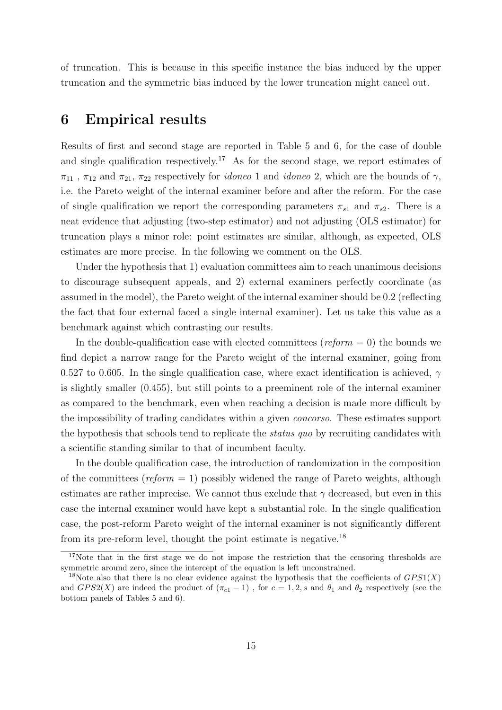of truncation. This is because in this specific instance the bias induced by the upper truncation and the symmetric bias induced by the lower truncation might cancel out.

### 6 Empirical results

Results of first and second stage are reported in Table 5 and 6, for the case of double and single qualification respectively.<sup>[17](#page-16-0)</sup> As for the second stage, we report estimates of  $\pi_{11}$ ,  $\pi_{12}$  and  $\pi_{21}$ ,  $\pi_{22}$  respectively for *idoneo* 1 and *idoneo* 2, which are the bounds of  $\gamma$ , i.e. the Pareto weight of the internal examiner before and after the reform. For the case of single qualification we report the corresponding parameters  $\pi_{s1}$  and  $\pi_{s2}$ . There is a neat evidence that adjusting (two-step estimator) and not adjusting (OLS estimator) for truncation plays a minor role: point estimates are similar, although, as expected, OLS estimates are more precise. In the following we comment on the OLS.

Under the hypothesis that 1) evaluation committees aim to reach unanimous decisions to discourage subsequent appeals, and 2) external examiners perfectly coordinate (as assumed in the model), the Pareto weight of the internal examiner should be 0.2 (reflecting the fact that four external faced a single internal examiner). Let us take this value as a benchmark against which contrasting our results.

In the double-qualification case with elected committees ( $reform = 0$ ) the bounds we find depict a narrow range for the Pareto weight of the internal examiner, going from 0.527 to 0.605. In the single qualification case, where exact identification is achieved,  $\gamma$ is slightly smaller (0.455), but still points to a preeminent role of the internal examiner as compared to the benchmark, even when reaching a decision is made more difficult by the impossibility of trading candidates within a given concorso. These estimates support the hypothesis that schools tend to replicate the status quo by recruiting candidates with a scientific standing similar to that of incumbent faculty.

In the double qualification case, the introduction of randomization in the composition of the committees ( $reform = 1$ ) possibly widened the range of Pareto weights, although estimates are rather imprecise. We cannot thus exclude that  $\gamma$  decreased, but even in this case the internal examiner would have kept a substantial role. In the single qualification case, the post-reform Pareto weight of the internal examiner is not significantly different from its pre-reform level, thought the point estimate is negative.[18](#page-16-1)

<span id="page-16-0"></span><sup>&</sup>lt;sup>17</sup>Note that in the first stage we do not impose the restriction that the censoring thresholds are symmetric around zero, since the intercept of the equation is left unconstrained.

<span id="page-16-1"></span><sup>&</sup>lt;sup>18</sup>Note also that there is no clear evidence against the hypothesis that the coefficients of  $GPS1(X)$ and  $GPS2(X)$  are indeed the product of  $(\pi_{c1}-1)$ , for  $c=1,2,s$  and  $\theta_1$  and  $\theta_2$  respectively (see the bottom panels of Tables 5 and 6).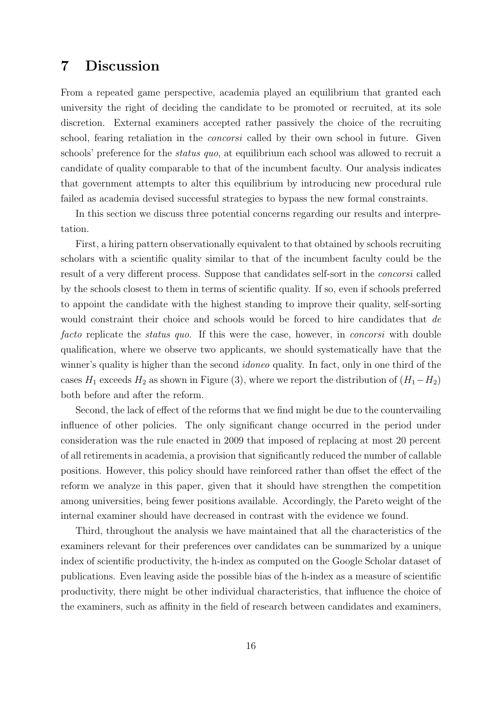# 7 Discussion

From a repeated game perspective, academia played an equilibrium that granted each university the right of deciding the candidate to be promoted or recruited, at its sole discretion. External examiners accepted rather passively the choice of the recruiting school, fearing retaliation in the *concorsi* called by their own school in future. Given schools' preference for the status quo, at equilibrium each school was allowed to recruit a candidate of quality comparable to that of the incumbent faculty. Our analysis indicates that government attempts to alter this equilibrium by introducing new procedural rule failed as academia devised successful strategies to bypass the new formal constraints.

In this section we discuss three potential concerns regarding our results and interpretation.

First, a hiring pattern observationally equivalent to that obtained by schools recruiting scholars with a scientific quality similar to that of the incumbent faculty could be the result of a very different process. Suppose that candidates self-sort in the concorsi called by the schools closest to them in terms of scientific quality. If so, even if schools preferred to appoint the candidate with the highest standing to improve their quality, self-sorting would constraint their choice and schools would be forced to hire candidates that de facto replicate the *status quo*. If this were the case, however, in *concorsi* with double qualification, where we observe two applicants, we should systematically have that the winner's quality is higher than the second *idoneo* quality. In fact, only in one third of the cases  $H_1$  exceeds  $H_2$  as shown in Figure (3), where we report the distribution of  $(H_1-H_2)$ both before and after the reform.

Second, the lack of effect of the reforms that we find might be due to the countervailing influence of other policies. The only significant change occurred in the period under consideration was the rule enacted in 2009 that imposed of replacing at most 20 percent of all retirements in academia, a provision that significantly reduced the number of callable positions. However, this policy should have reinforced rather than offset the effect of the reform we analyze in this paper, given that it should have strengthen the competition among universities, being fewer positions available. Accordingly, the Pareto weight of the internal examiner should have decreased in contrast with the evidence we found.

Third, throughout the analysis we have maintained that all the characteristics of the examiners relevant for their preferences over candidates can be summarized by a unique index of scientific productivity, the h-index as computed on the Google Scholar dataset of publications. Even leaving aside the possible bias of the h-index as a measure of scientific productivity, there might be other individual characteristics, that influence the choice of the examiners, such as affinity in the field of research between candidates and examiners,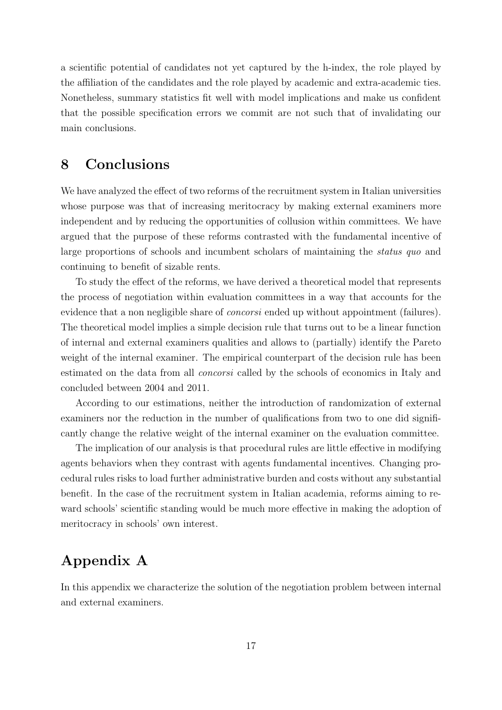a scientific potential of candidates not yet captured by the h-index, the role played by the affiliation of the candidates and the role played by academic and extra-academic ties. Nonetheless, summary statistics fit well with model implications and make us confident that the possible specification errors we commit are not such that of invalidating our main conclusions.

### 8 Conclusions

We have analyzed the effect of two reforms of the recruitment system in Italian universities whose purpose was that of increasing meritocracy by making external examiners more independent and by reducing the opportunities of collusion within committees. We have argued that the purpose of these reforms contrasted with the fundamental incentive of large proportions of schools and incumbent scholars of maintaining the status quo and continuing to benefit of sizable rents.

To study the effect of the reforms, we have derived a theoretical model that represents the process of negotiation within evaluation committees in a way that accounts for the evidence that a non negligible share of *concorsi* ended up without appointment (failures). The theoretical model implies a simple decision rule that turns out to be a linear function of internal and external examiners qualities and allows to (partially) identify the Pareto weight of the internal examiner. The empirical counterpart of the decision rule has been estimated on the data from all concorsi called by the schools of economics in Italy and concluded between 2004 and 2011.

According to our estimations, neither the introduction of randomization of external examiners nor the reduction in the number of qualifications from two to one did significantly change the relative weight of the internal examiner on the evaluation committee.

The implication of our analysis is that procedural rules are little effective in modifying agents behaviors when they contrast with agents fundamental incentives. Changing procedural rules risks to load further administrative burden and costs without any substantial benefit. In the case of the recruitment system in Italian academia, reforms aiming to reward schools' scientific standing would be much more effective in making the adoption of meritocracy in schools' own interest.

# Appendix A

In this appendix we characterize the solution of the negotiation problem between internal and external examiners.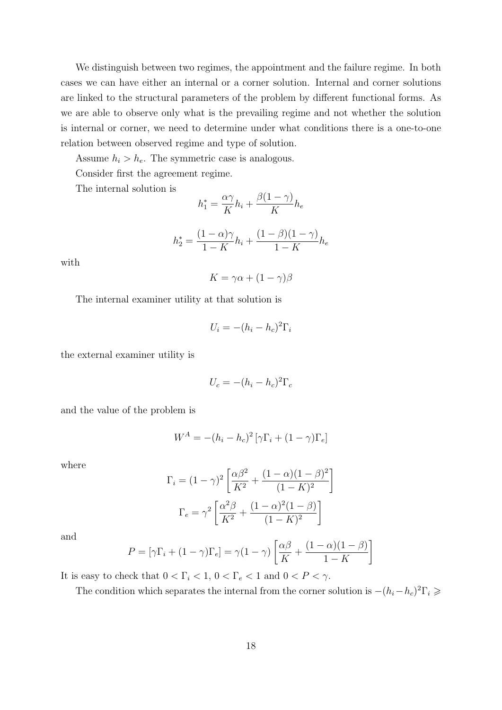We distinguish between two regimes, the appointment and the failure regime. In both cases we can have either an internal or a corner solution. Internal and corner solutions are linked to the structural parameters of the problem by different functional forms. As we are able to observe only what is the prevailing regime and not whether the solution is internal or corner, we need to determine under what conditions there is a one-to-one relation between observed regime and type of solution.

Assume  $h_i > h_e$ . The symmetric case is analogous.

Consider first the agreement regime.

The internal solution is

$$
h_1^* = \frac{\alpha \gamma}{K} h_i + \frac{\beta(1-\gamma)}{K} h_e
$$

$$
h_2^* = \frac{(1 - \alpha)\gamma}{1 - K}h_i + \frac{(1 - \beta)(1 - \gamma)}{1 - K}h_e
$$

with

$$
K = \gamma \alpha + (1 - \gamma)\beta
$$

The internal examiner utility at that solution is

$$
U_i = -(h_i - h_c)^2 \Gamma_i
$$

the external examiner utility is

$$
U_c = -(h_i - h_c)^2 \Gamma_c
$$

and the value of the problem is

$$
W^{A} = -(h_i - h_c)^2 \left[ \gamma \Gamma_i + (1 - \gamma) \Gamma_e \right]
$$

where

$$
\Gamma_i = (1 - \gamma)^2 \left[ \frac{\alpha \beta^2}{K^2} + \frac{(1 - \alpha)(1 - \beta)^2}{(1 - K)^2} \right]
$$

$$
\Gamma_e = \gamma^2 \left[ \frac{\alpha^2 \beta}{K^2} + \frac{(1 - \alpha)^2 (1 - \beta)}{(1 - K)^2} \right]
$$

and

$$
P = [\gamma \Gamma_i + (1 - \gamma) \Gamma_e] = \gamma (1 - \gamma) \left[ \frac{\alpha \beta}{K} + \frac{(1 - \alpha)(1 - \beta)}{1 - K} \right]
$$

It is easy to check that  $0 < \Gamma_i < 1, 0 < \Gamma_e < 1$  and  $0 < P < \gamma$ .

The condition which separates the internal from the corner solution is  $-(h_i-h_c)^2\Gamma_i \geq$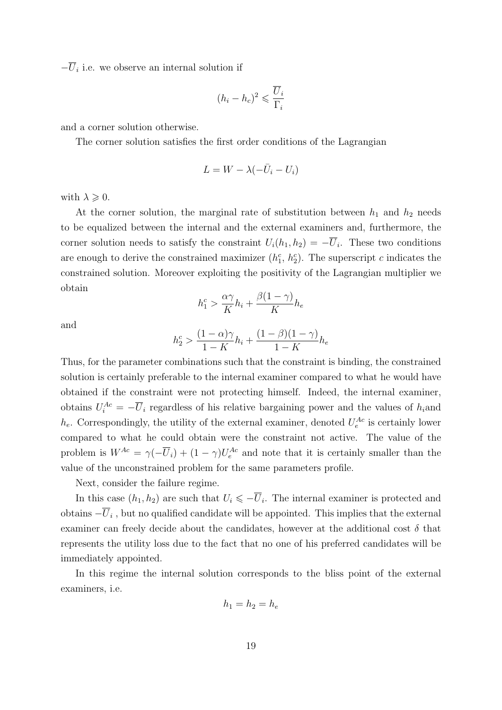$-\overline{U}_i$  i.e. we observe an internal solution if

$$
(h_i - h_c)^2 \leqslant \frac{\overline{U}_i}{\Gamma_i}
$$

and a corner solution otherwise.

The corner solution satisfies the first order conditions of the Lagrangian

$$
L = W - \lambda(-\bar{U}_i - U_i)
$$

with  $\lambda \geqslant 0$ .

At the corner solution, the marginal rate of substitution between  $h_1$  and  $h_2$  needs to be equalized between the internal and the external examiners and, furthermore, the corner solution needs to satisfy the constraint  $U_i(h_1, h_2) = -\overline{U}_i$ . These two conditions are enough to derive the constrained maximizer  $(h_1^c, h_2^c)$ . The superscript c indicates the constrained solution. Moreover exploiting the positivity of the Lagrangian multiplier we obtain

$$
h_1^c > \frac{\alpha \gamma}{K} h_i + \frac{\beta(1-\gamma)}{K} h_e
$$

and

$$
h^c_2 > \frac{(1-\alpha)\gamma}{1-K}h_i + \frac{(1-\beta)(1-\gamma)}{1-K}h_e
$$

Thus, for the parameter combinations such that the constraint is binding, the constrained solution is certainly preferable to the internal examiner compared to what he would have obtained if the constraint were not protecting himself. Indeed, the internal examiner, obtains  $U_i^{Ac} = -\overline{U}_i$  regardless of his relative bargaining power and the values of  $h_i$  and  $h_e$ . Correspondingly, the utility of the external examiner, denoted  $U_e^{Ac}$  is certainly lower compared to what he could obtain were the constraint not active. The value of the problem is  $W^{Ac} = \gamma(-\overline{U}_i) + (1-\gamma)U_e^{Ac}$  and note that it is certainly smaller than the value of the unconstrained problem for the same parameters profile.

Next, consider the failure regime.

In this case  $(h_1, h_2)$  are such that  $U_i \leq \overline{U}_i$ . The internal examiner is protected and obtains  $-\overline{U}_i$ , but no qualified candidate will be appointed. This implies that the external examiner can freely decide about the candidates, however at the additional cost  $\delta$  that represents the utility loss due to the fact that no one of his preferred candidates will be immediately appointed.

In this regime the internal solution corresponds to the bliss point of the external examiners, i.e.

$$
h_1 = h_2 = h_e
$$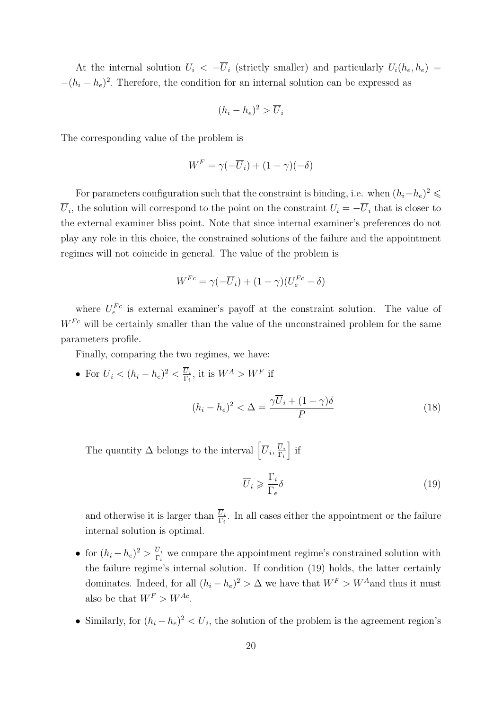At the internal solution  $U_i < -\overline{U}_i$  (strictly smaller) and particularly  $U_i(h_e, h_e)$  $-(h_i-h_e)^2$ . Therefore, the condition for an internal solution can be expressed as

$$
(h_i - h_e)^2 > \overline{U}_i
$$

The corresponding value of the problem is

$$
W^F = \gamma(-\overline{U}_i) + (1 - \gamma)(-\delta)
$$

For parameters configuration such that the constraint is binding, i.e. when  $(h_i-h_e)^2 \leq$  $U_i$ , the solution will correspond to the point on the constraint  $U_i = -U_i$  that is closer to the external examiner bliss point. Note that since internal examiner's preferences do not play any role in this choice, the constrained solutions of the failure and the appointment regimes will not coincide in general. The value of the problem is

$$
W^{Fc} = \gamma(-\overline{U}_i) + (1 - \gamma)(U_e^{Fc} - \delta)
$$

where  $U_e^{Fc}$  is external examiner's payoff at the constraint solution. The value of  $W^{Fc}$  will be certainly smaller than the value of the unconstrained problem for the same parameters profile.

Finally, comparing the two regimes, we have:

• For  $\overline{U}_i < (h_i - h_e)^2 < \frac{U_i}{\Gamma_i}$  $\frac{U_i}{\Gamma_i}$ , it is  $W^A > W^F$  if

<span id="page-21-1"></span>
$$
(h_i - h_e)^2 < \Delta = \frac{\gamma \overline{U}_i + (1 - \gamma)\delta}{P} \tag{18}
$$

The quantity  $\Delta$  belongs to the interval  $\left[\overline{U}_i,\frac{\overline{U}_i}{\Gamma_i}\right]$  $\Gamma_i$  $\Big\}$  if

<span id="page-21-0"></span>
$$
\overline{U}_i \geqslant \frac{\Gamma_i}{\Gamma_e} \delta \tag{19}
$$

and otherwise it is larger than  $\frac{U_i}{\Gamma_i}$ . In all cases either the appointment or the failure internal solution is optimal.

- for  $(h_i-h_e)^2 > \frac{U_i}{\Gamma_i}$  $\frac{U_i}{\Gamma_i}$  we compare the appointment regime's constrained solution with the failure regime's internal solution. If condition [\(19\)](#page-21-0) holds, the latter certainly dominates. Indeed, for all  $(h_i - h_e)^2 > \Delta$  we have that  $W^F > W^A$  and thus it must also be that  $W^F > W^{Ac}$ .
- Similarly, for  $(h_i h_e)^2 < \overline{U}_i$ , the solution of the problem is the agreement region's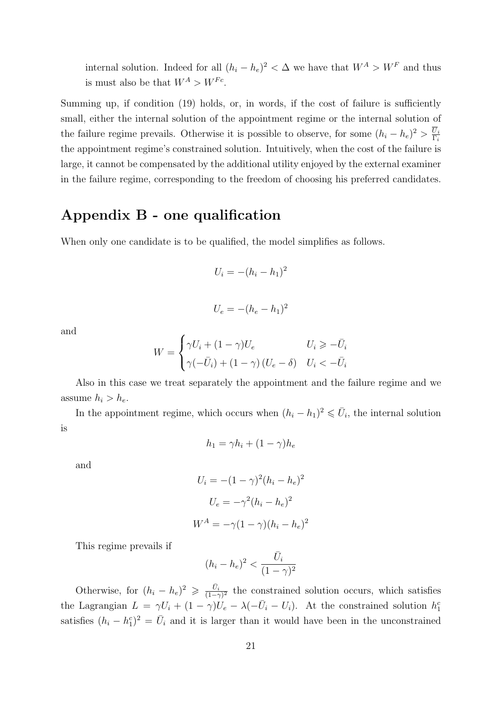internal solution. Indeed for all  $(h_i - h_e)^2 < \Delta$  we have that  $W^A > W^F$  and thus is must also be that  $W^A > W^{Fc}$ .

Summing up, if condition [\(19\)](#page-21-0) holds, or, in words, if the cost of failure is sufficiently small, either the internal solution of the appointment regime or the internal solution of the failure regime prevails. Otherwise it is possible to observe, for some  $(h_i - h_e)^2 > \frac{U_i}{\Gamma_i}$  $\Gamma_i$ the appointment regime's constrained solution. Intuitively, when the cost of the failure is large, it cannot be compensated by the additional utility enjoyed by the external examiner in the failure regime, corresponding to the freedom of choosing his preferred candidates.

### Appendix B - one qualification

When only one candidate is to be qualified, the model simplifies as follows.

$$
U_i = -(h_i - h_1)^2
$$

 $U_e = -(h_e - h_1)^2$ 

and

$$
W = \begin{cases} \gamma U_i + (1 - \gamma)U_e & U_i \geq -\bar{U}_i \\ \gamma(-\bar{U}_i) + (1 - \gamma)(U_e - \delta) & U_i < -\bar{U}_i \end{cases}
$$

Also in this case we treat separately the appointment and the failure regime and we assume  $h_i > h_e$ .

In the appointment regime, which occurs when  $(h_i - h_1)^2 \leq \bar{U}_i$ , the internal solution is

$$
h_1 = \gamma h_i + (1 - \gamma) h_e
$$

and

$$
U_i = -(1 - \gamma)^2 (h_i - h_e)^2
$$

$$
U_e = -\gamma^2 (h_i - h_e)^2
$$

$$
W^A = -\gamma (1 - \gamma) (h_i - h_e)^2
$$

This regime prevails if

$$
(h_i - h_e)^2 < \frac{\bar{U}_i}{(1 - \gamma)^2}
$$

Otherwise, for  $(h_i - h_e)^2 \geqslant \frac{\bar{U}_i}{(1-\gamma)^2}$  the constrained solution occurs, which satisfies the Lagrangian  $L = \gamma U_i + (1 - \gamma)U_e - \lambda(-\bar{U}_i - U_i)$ . At the constrained solution  $h_1^c$ satisfies  $(h_i - h_1^c)^2 = \bar{U}_i$  and it is larger than it would have been in the unconstrained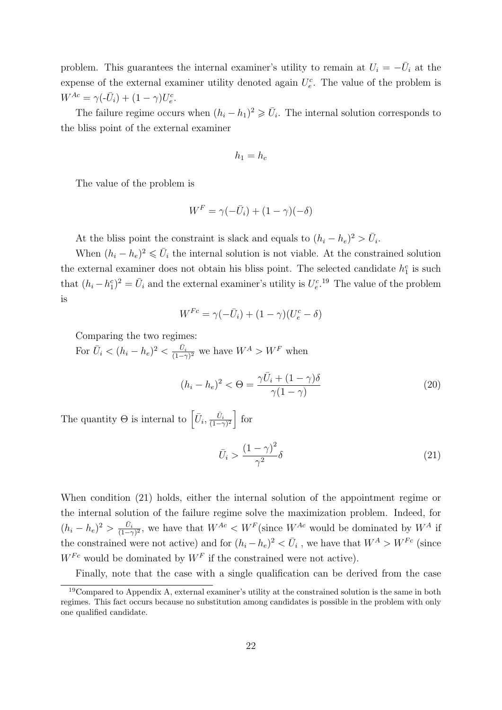problem. This guarantees the internal examiner's utility to remain at  $U_i = -\overline{U}_i$  at the expense of the external examiner utility denoted again  $U_e^c$ . The value of the problem is  $W^{Ac} = \gamma(-\bar{U}_i) + (1-\gamma)U_e^c.$ 

The failure regime occurs when  $(h_i - h_1)^2 \geq \bar{U}_i$ . The internal solution corresponds to the bliss point of the external examiner

$$
h_1 = h_c
$$

The value of the problem is

$$
W^F = \gamma(-\bar{U}_i) + (1 - \gamma)(-\delta)
$$

At the bliss point the constraint is slack and equals to  $(h_i - h_e)^2 > \bar{U}_i$ .

When  $(h_i - h_e)^2 \leq \bar{U}_i$  the internal solution is not viable. At the constrained solution the external examiner does not obtain his bliss point. The selected candidate  $h_1^c$  is such that  $(h_i - h_1^c)^2 = \bar{U}_i$  and the external examiner's utility is  $U_e^{c}$ .<sup>[19](#page-23-0)</sup> The value of the problem is

$$
W^{Fc} = \gamma(-\bar{U}_i) + (1-\gamma)(U_e^c - \delta)
$$

Comparing the two regimes:

For  $\bar{U}_i < (h_i - h_e)^2 < \frac{\bar{U}_i}{(1-\gamma)^2}$  we have  $W^A > W^F$  when

<span id="page-23-2"></span>
$$
(h_i - h_e)^2 < \Theta = \frac{\gamma \bar{U}_i + (1 - \gamma)\delta}{\gamma (1 - \gamma)}\tag{20}
$$

The quantity  $\Theta$  is internal to  $\left[\bar{U}_i, \frac{\bar{U}_i}{(1-\gamma)^2}\right]$  for

<span id="page-23-1"></span>
$$
\bar{U}_i > \frac{(1-\gamma)^2}{\gamma^2} \delta \tag{21}
$$

When condition [\(21\)](#page-23-1) holds, either the internal solution of the appointment regime or the internal solution of the failure regime solve the maximization problem. Indeed, for  $(h_i - h_e)^2 > \frac{\bar{U}_i}{(1-\gamma)^2}$ , we have that  $W^{Ac} < W^F$  (since  $W^{Ac}$  would be dominated by  $W^A$  if the constrained were not active) and for  $(h_i - h_e)^2 < \bar{U}_i$ , we have that  $W^A > W^{Fc}$  (since  $W^{Fc}$  would be dominated by  $W^F$  if the constrained were not active).

<span id="page-23-0"></span>Finally, note that the case with a single qualification can be derived from the case

 $19$ Compared to Appendix A, external examiner's utility at the constrained solution is the same in both regimes. This fact occurs because no substitution among candidates is possible in the problem with only one qualified candidate.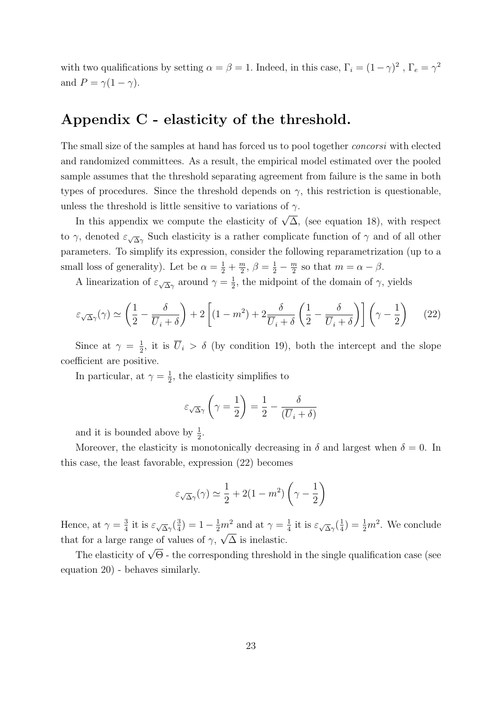with two qualifications by setting  $\alpha = \beta = 1$ . Indeed, in this case,  $\Gamma_i = (1 - \gamma)^2$ ,  $\Gamma_e = \gamma^2$ and  $P = \gamma(1 - \gamma)$ .

# Appendix C - elasticity of the threshold.

The small size of the samples at hand has forced us to pool together concorsi with elected and randomized committees. As a result, the empirical model estimated over the pooled sample assumes that the threshold separating agreement from failure is the same in both types of procedures. Since the threshold depends on  $\gamma$ , this restriction is questionable, unless the threshold is little sensitive to variations of  $\gamma$ .

In this appendix we compute the elasticity of  $\sqrt{\Delta}$ , (see equation [18\)](#page-21-1), with respect to  $\gamma$ , denoted  $\varepsilon_{\sqrt{\Delta}\gamma}$  Such elasticity is a rather complicate function of  $\gamma$  and of all other parameters. To simplify its expression, consider the following reparametrization (up to a small loss of generality). Let be  $\alpha = \frac{1}{2} + \frac{m}{2}$  $\frac{m}{2}, \beta = \frac{1}{2} - \frac{m}{2}$  $\frac{m}{2}$  so that  $m = \alpha - \beta$ .

A linearization of  $\varepsilon_{\sqrt{\Delta}\gamma}$  around  $\gamma = \frac{1}{2}$  $\frac{1}{2}$ , the midpoint of the domain of  $\gamma$ , yields

<span id="page-24-0"></span>
$$
\varepsilon_{\sqrt{\Delta}\gamma}(\gamma) \simeq \left(\frac{1}{2} - \frac{\delta}{\overline{U}_i + \delta}\right) + 2\left[ (1 - m^2) + 2\frac{\delta}{\overline{U}_i + \delta} \left(\frac{1}{2} - \frac{\delta}{\overline{U}_i + \delta}\right) \right] \left(\gamma - \frac{1}{2}\right) \tag{22}
$$

Since at  $\gamma = \frac{1}{2}$  $\frac{1}{2}$ , it is  $U_i > \delta$  (by condition [19\)](#page-21-0), both the intercept and the slope coefficient are positive.

In particular, at  $\gamma = \frac{1}{2}$  $\frac{1}{2}$ , the elasticity simplifies to

$$
\varepsilon_{\sqrt{\Delta}\gamma}\left(\gamma=\frac{1}{2}\right)=\frac{1}{2}-\frac{\delta}{(\overline{U}_i+\delta)}
$$

and it is bounded above by  $\frac{1}{2}$ .

Moreover, the elasticity is monotonically decreasing in  $\delta$  and largest when  $\delta = 0$ . In this case, the least favorable, expression [\(22\)](#page-24-0) becomes

$$
\varepsilon_{\sqrt{\Delta}\gamma}(\gamma) \simeq \frac{1}{2} + 2(1 - m^2) \left(\gamma - \frac{1}{2}\right)
$$

Hence, at  $\gamma = \frac{3}{4}$  $\frac{3}{4}$  it is  $\varepsilon_{\sqrt{\Delta}\gamma}(\frac{3}{4})$  $(\frac{3}{4}) = 1 - \frac{1}{2}m^2$  and at  $\gamma = \frac{1}{4}$  $\frac{1}{4}$  it is  $\varepsilon_{\sqrt{\Delta}\gamma}(\frac{1}{4})$  $m^2$  and at  $\gamma = \frac{1}{4}$  it is  $\varepsilon_{\sqrt{\Delta}\gamma}(\frac{1}{4}) = \frac{1}{2}m^2$ . We conclude that for a large range of values of  $\gamma$ ,  $\sqrt{\Delta}$  is inelastic.

The elasticity of  $\sqrt{\Theta}$  - the corresponding threshold in the single qualification case (see equation [20\)](#page-23-2) - behaves similarly.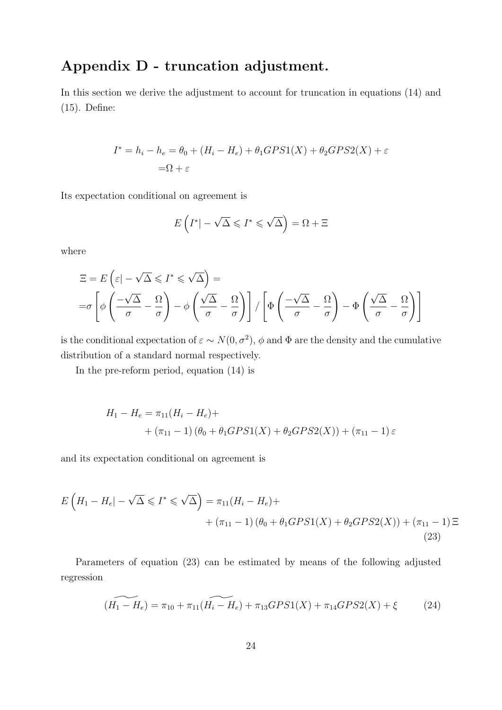# Appendix D - truncation adjustment.

In this section we derive the adjustment to account for truncation in equations [\(14\)](#page-14-0) and [\(15\)](#page-14-1). Define:

$$
I^* = h_i - h_e = \theta_0 + (H_i - H_e) + \theta_1 GPS1(X) + \theta_2 GPS2(X) + \varepsilon
$$
  
=  $\Omega + \varepsilon$ 

Its expectation conditional on agreement is

$$
E\left(I^*|-\sqrt{\Delta} \leqslant I^* \leqslant \sqrt{\Delta}\right) = \Omega + \Xi
$$

where

$$
\Xi = E\left(\varepsilon | -\sqrt{\Delta} \leqslant I^* \leqslant \sqrt{\Delta}\right) =
$$
\n
$$
= \sigma \left[ \phi \left( \frac{-\sqrt{\Delta}}{\sigma} - \frac{\Omega}{\sigma} \right) - \phi \left( \frac{\sqrt{\Delta}}{\sigma} - \frac{\Omega}{\sigma} \right) \right] / \left[ \Phi \left( \frac{-\sqrt{\Delta}}{\sigma} - \frac{\Omega}{\sigma} \right) - \Phi \left( \frac{\sqrt{\Delta}}{\sigma} - \frac{\Omega}{\sigma} \right) \right]
$$

is the conditional expectation of  $\varepsilon \sim N(0, \sigma^2)$ ,  $\phi$  and  $\Phi$  are the density and the cumulative distribution of a standard normal respectively.

In the pre-reform period, equation [\(14\)](#page-14-0) is

$$
H_1 - H_e = \pi_{11}(H_i - H_e) +
$$
  
+  $(\pi_{11} - 1) (\theta_0 + \theta_1 GPS1(X) + \theta_2 GPS2(X)) + (\pi_{11} - 1) \varepsilon$ 

and its expectation conditional on agreement is

$$
E\left(H_1 - H_e| - \sqrt{\Delta} \leqslant I^* \leqslant \sqrt{\Delta}\right) = \pi_{11}(H_i - H_e) +
$$
  
+ 
$$
(\pi_{11} - 1)\left(\theta_0 + \theta_1 GPS1(X) + \theta_2 GPS2(X)\right) + (\pi_{11} - 1) \Xi
$$
(23)

Parameters of equation [\(23\)](#page-25-0) can be estimated by means of the following adjusted regression

<span id="page-25-0"></span>
$$
\widetilde{(H_1 - H_e)} = \pi_{10} + \pi_{11}(\widetilde{H_i - H_e}) + \pi_{13} GPS1(X) + \pi_{14} GPS2(X) + \xi \tag{24}
$$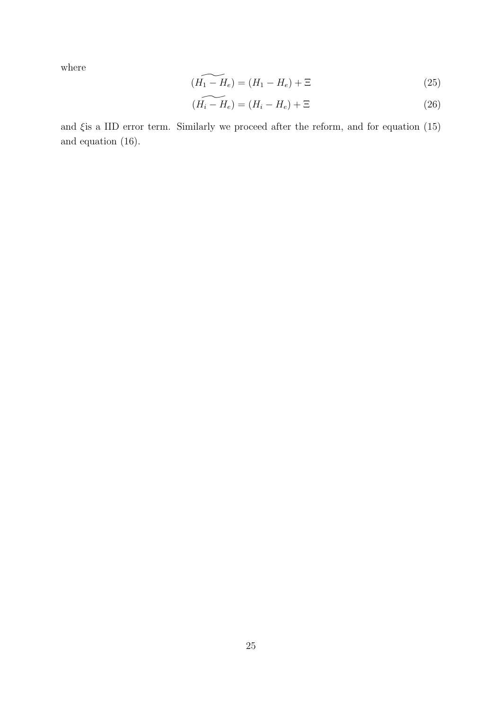where

$$
\widetilde{(H_1 - H_e)} = (H_1 - H_e) + \Xi \tag{25}
$$

$$
\widetilde{(H_i - H_e)} = (H_i - H_e) + \Xi \tag{26}
$$

and  $\xi$  is a IID error term. Similarly we proceed after the reform, and for equation [\(15\)](#page-14-1) and equation [\(16\)](#page-14-2).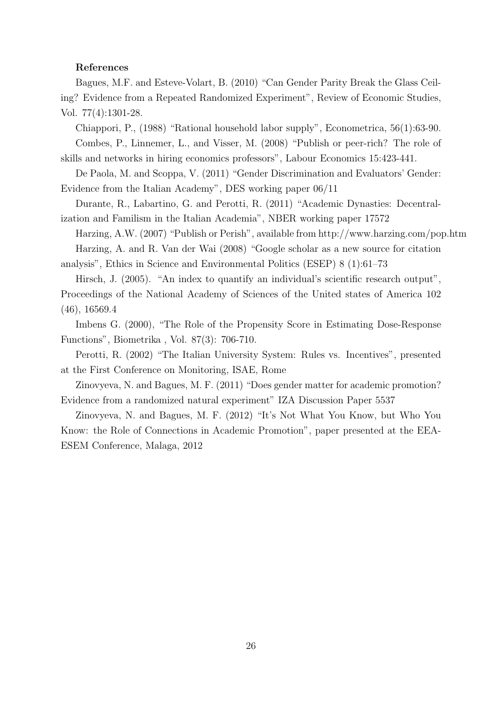#### References

Bagues, M.F. and Esteve-Volart, B. (2010) "Can Gender Parity Break the Glass Ceiling? Evidence from a Repeated Randomized Experiment", Review of Economic Studies, Vol. 77(4):1301-28.

Chiappori, P., (1988) "Rational household labor supply", Econometrica, 56(1):63-90.

Combes, P., Linnemer, L., and Visser, M. (2008) "Publish or peer-rich? The role of skills and networks in hiring economics professors", Labour Economics 15:423-441.

De Paola, M. and Scoppa, V. (2011) "Gender Discrimination and Evaluators' Gender: Evidence from the Italian Academy", DES working paper 06/11

Durante, R., Labartino, G. and Perotti, R. (2011) "Academic Dynasties: Decentralization and Familism in the Italian Academia", NBER working paper 17572

Harzing, A.W. (2007) "Publish or Perish", available from http://www.harzing.com/pop.htm Harzing, A. and R. Van der Wai (2008) "Google scholar as a new source for citation analysis", Ethics in Science and Environmental Politics (ESEP) 8 (1):61–73

Hirsch, J. (2005). "An index to quantify an individual's scientific research output", Proceedings of the National Academy of Sciences of the United states of America 102 (46), 16569.4

Imbens G. (2000), "The Role of the Propensity Score in Estimating Dose-Response Functions", Biometrika , Vol. 87(3): 706-710.

Perotti, R. (2002) "The Italian University System: Rules vs. Incentives", presented at the First Conference on Monitoring, ISAE, Rome

Zinovyeva, N. and Bagues, M. F. (2011) "Does gender matter for academic promotion? Evidence from a randomized natural experiment" IZA Discussion Paper 5537

Zinovyeva, N. and Bagues, M. F. (2012) "It's Not What You Know, but Who You Know: the Role of Connections in Academic Promotion", paper presented at the EEA-ESEM Conference, Malaga, 2012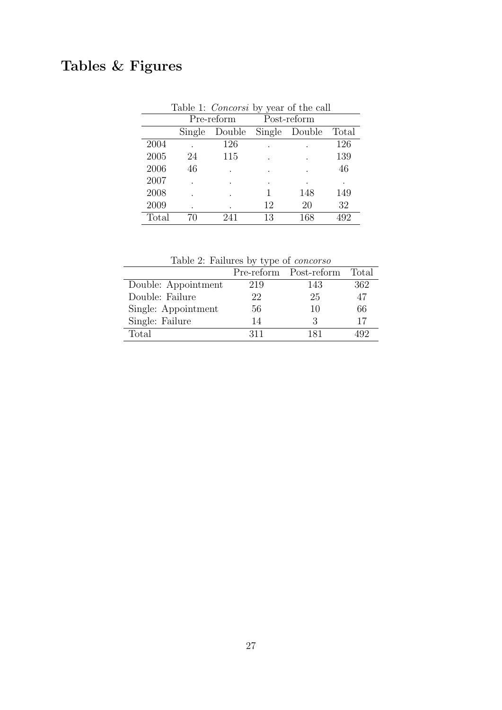# Tables & Figures

|       |        | Table 1: <i>Concorsi</i> by year of the call |    |             |       |
|-------|--------|----------------------------------------------|----|-------------|-------|
|       |        | Pre-reform                                   |    | Post-reform |       |
|       | Single | Double Single Double                         |    |             | Total |
| 2004  |        | 126                                          |    |             | 126   |
| 2005  | 24     | 115                                          |    |             | 139   |
| 2006  | 46     |                                              |    |             | 46    |
| 2007  |        |                                              |    | $\bullet$   |       |
| 2008  |        |                                              |    | 148         | 149   |
| 2009  |        |                                              | 12 | 20          | 32    |
| Total |        |                                              | 13 | 168         | 492   |

Table 2: Failures by type of concorso

|                     |     | Pre-reform Post-reform | Total |
|---------------------|-----|------------------------|-------|
| Double: Appointment | 219 | 143                    | 362   |
| Double: Failure     | 22  | 25                     | 47    |
| Single: Appointment | 56  | 10                     | 66    |
| Single: Failure     | 14  | 3                      | 17    |
| Total               | 311 | 181                    |       |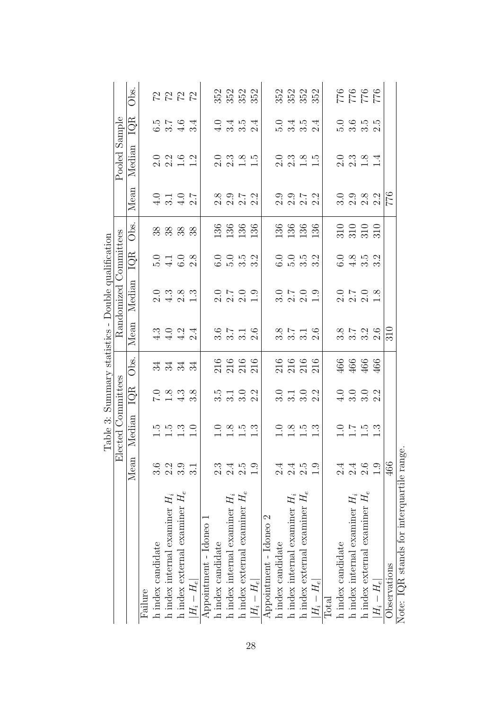| Table 3: Summary statistics - Double qualification | Pooled Sample<br>Randomized Committees<br>Elected Committees | Obs.<br>IQR<br>Median<br>Mean<br>Obs.<br>IQR<br>Median<br>Mean<br>Obs.<br>IQR<br>Median |         | СG                | $\begin{array}{c} 1.1 \\ 6.0 \end{array}$<br>$\begin{array}{c} 1.5 \\ -1.5 \end{array}$ | 2222<br>$6.5$ $-7$<br>$-6$<br>$-4.6$<br>0 0 0 0<br>0 0 0 0<br>1 0 0 0<br>$0 7 0 7 0 7$<br>$4 0 7 0 0$<br>೫ ೫ ೫ ೫<br>0<br>4 4 4 0<br>4 4 4 0<br>ಸ ಸ ಸ ಸ<br>1.3 | 3.4<br>$2.\overline{8}$<br>3.8<br>$\frac{0}{1}$ |                        |                   | 352<br>352<br>352<br>0 4 10 4<br>4 6 6 7<br>$\begin{array}{c} 0 & 0 & 0 \\ 2 & 0 & 0 \\ 1 & 0 & 1 \end{array}$<br>8 9 1 2<br>8 9 1 2<br>8 9 1 2<br>$\frac{136}{136}$<br>0 0 10 21<br>0 10 31 31<br>$0.709$<br>$2.09$<br>$1.09$<br>0 N 1 0<br>0 0 0 0 0<br>216<br>216<br>216<br>216<br>15 11 0 21<br>6 11 10 11<br>$\begin{array}{c}\n 2.5 \\  -1.5\n \end{array}$ |                                 | 136<br>$\frac{3}{1}$ |                        | $\frac{5}{2}$<br>2.0<br>136<br>0.5<br>$\frac{0}{1}$ | 352<br>352<br>352<br>$3.454$<br>$3.454$<br>$\begin{array}{c} 2.3 \\ 1.5 \end{array}$<br>o o r<br>ci ci ci ci<br>136<br>$0.709$<br>$0.709$<br>$1.9$<br>80 N H G<br>60 60 60 60<br>216<br>216<br>216<br>216<br>0 1 0 2<br>0 0 0 2<br>$\begin{array}{c} 1.5 \\ 1.5 \end{array}$ | 136                             | 136<br>$1.\overline{3}$ |              | 5.0               | $\frac{927}{921}$<br>9112<br>0 10 10<br>0 10 11<br>0 11<br>$2.3 \times 14$<br>$2.3 \times 14$<br>o o xo ci<br>ci ci ci ci<br>$310$<br>$310$<br>$310$<br>0 8 10 21<br>0 4 10 21<br>$0.708$<br>$2.08$<br>$1.08$<br>80 1 - 81 60<br>61 60 61 61<br>$466$<br>$466$<br>0 0 0 0<br>4 0 0 0 0<br>$0.75$<br>$-1.5$ |                                 | 466<br>نۍ   | 776          |
|----------------------------------------------------|--------------------------------------------------------------|-----------------------------------------------------------------------------------------|---------|-------------------|-----------------------------------------------------------------------------------------|---------------------------------------------------------------------------------------------------------------------------------------------------------------|-------------------------------------------------|------------------------|-------------------|-------------------------------------------------------------------------------------------------------------------------------------------------------------------------------------------------------------------------------------------------------------------------------------------------------------------------------------------------------------------|---------------------------------|----------------------|------------------------|-----------------------------------------------------|------------------------------------------------------------------------------------------------------------------------------------------------------------------------------------------------------------------------------------------------------------------------------|---------------------------------|-------------------------|--------------|-------------------|------------------------------------------------------------------------------------------------------------------------------------------------------------------------------------------------------------------------------------------------------------------------------------------------------------|---------------------------------|-------------|--------------|
|                                                    |                                                              |                                                                                         |         |                   |                                                                                         |                                                                                                                                                               |                                                 |                        |                   |                                                                                                                                                                                                                                                                                                                                                                   |                                 |                      |                        |                                                     |                                                                                                                                                                                                                                                                              |                                 |                         |              |                   |                                                                                                                                                                                                                                                                                                            |                                 |             |              |
|                                                    |                                                              |                                                                                         |         |                   |                                                                                         |                                                                                                                                                               |                                                 |                        |                   |                                                                                                                                                                                                                                                                                                                                                                   |                                 |                      |                        |                                                     |                                                                                                                                                                                                                                                                              |                                 |                         |              |                   |                                                                                                                                                                                                                                                                                                            |                                 |             |              |
|                                                    |                                                              |                                                                                         |         |                   |                                                                                         |                                                                                                                                                               |                                                 |                        |                   |                                                                                                                                                                                                                                                                                                                                                                   |                                 |                      |                        |                                                     |                                                                                                                                                                                                                                                                              |                                 |                         |              |                   |                                                                                                                                                                                                                                                                                                            |                                 |             | 310          |
|                                                    |                                                              |                                                                                         |         |                   |                                                                                         |                                                                                                                                                               |                                                 |                        |                   |                                                                                                                                                                                                                                                                                                                                                                   |                                 |                      |                        |                                                     |                                                                                                                                                                                                                                                                              |                                 |                         |              |                   |                                                                                                                                                                                                                                                                                                            |                                 |             |              |
|                                                    |                                                              |                                                                                         |         |                   |                                                                                         |                                                                                                                                                               |                                                 |                        |                   |                                                                                                                                                                                                                                                                                                                                                                   |                                 |                      |                        |                                                     |                                                                                                                                                                                                                                                                              |                                 |                         |              |                   |                                                                                                                                                                                                                                                                                                            |                                 |             |              |
|                                                    |                                                              |                                                                                         |         |                   |                                                                                         |                                                                                                                                                               |                                                 |                        |                   |                                                                                                                                                                                                                                                                                                                                                                   |                                 |                      |                        |                                                     |                                                                                                                                                                                                                                                                              |                                 |                         |              |                   |                                                                                                                                                                                                                                                                                                            |                                 |             |              |
|                                                    |                                                              | Mean                                                                                    |         | 3.6               | 2.2                                                                                     | 3.9                                                                                                                                                           |                                                 |                        | $2.\overline{3}$  | 2.4                                                                                                                                                                                                                                                                                                                                                               | 2.5                             |                      |                        | 2.4                                                 | $2.5$<br>$2.5$                                                                                                                                                                                                                                                               |                                 | $\ddot{0}$              |              | $\frac{4}{2}$     | $\begin{array}{c} 2.4 \\ 2.6 \end{array}$                                                                                                                                                                                                                                                                  |                                 | 1.9         | 466          |
|                                                    |                                                              |                                                                                         | Failure | h index candidate | h index internal examiner $H_i$                                                         | h index external examiner $H_e$                                                                                                                               | $ H_i-H_e $                                     | Appointment - Idoneo 1 | h index candidate | h index internal examiner $H_i$                                                                                                                                                                                                                                                                                                                                   | h index external examiner $H_e$ | $ H_i-H_e $          | Appointment - Idoneo 2 | h index candidate                                   | h index internal examiner $H_i$                                                                                                                                                                                                                                              | h index external examiner $H_e$ | $ H_i-H_e $             | $\rm{Total}$ | h index candidate | h index internal examiner $H_i$                                                                                                                                                                                                                                                                            | h index external examiner $H_e$ | $ H_i-H_e $ | Observations |

Note: IQR stands for interquartile range. Note: IQR stands for interquartile range.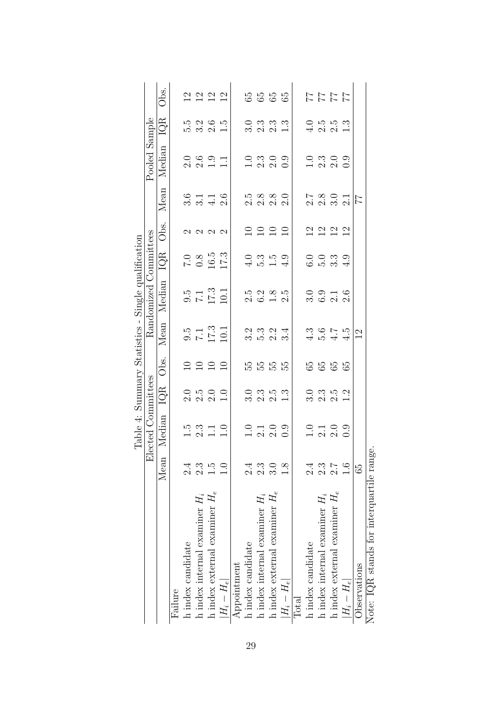|                                          |                  |                                                                    |                                                                                     |          |                                                              | Table 4: Summary Statistics - Single qualification |                              |                            |                                 |                                                           |                                                             |               |
|------------------------------------------|------------------|--------------------------------------------------------------------|-------------------------------------------------------------------------------------|----------|--------------------------------------------------------------|----------------------------------------------------|------------------------------|----------------------------|---------------------------------|-----------------------------------------------------------|-------------------------------------------------------------|---------------|
|                                          |                  | Elected Committees                                                 |                                                                                     |          |                                                              | Randomized Committees                              |                              |                            |                                 | Pooled Sample                                             |                                                             |               |
|                                          | Mean             | Median                                                             |                                                                                     | IQR Obs. |                                                              | Mean Median IQR                                    |                              | Obs.                       |                                 | Mean Median                                               | $\overline{\text{1QR}}$                                     | Obs.<br>O     |
| Failure                                  |                  |                                                                    |                                                                                     |          |                                                              |                                                    |                              |                            |                                 |                                                           |                                                             |               |
| h index candidate                        | $2\ddot{4}$      |                                                                    |                                                                                     |          |                                                              |                                                    |                              |                            |                                 |                                                           |                                                             |               |
| h index internal examiner $H_i$          | 2.3              |                                                                    |                                                                                     | 2222     | $0.5$<br>$7.1$<br>$10.1$<br>$10.1$                           |                                                    | $7.0$<br>0.8<br>16.5<br>17.3 | $\alpha$ $\alpha$ $\alpha$ | $3.140$<br>$3.40$               | $0.60$<br>$0.901$<br>$1.1$                                |                                                             |               |
| h index external examiner $H_e$          | $\frac{5}{1}$    |                                                                    |                                                                                     |          |                                                              |                                                    |                              |                            |                                 |                                                           |                                                             |               |
| $ H_i-H_e $                              | $\overline{0}$ . | $\begin{array}{c} 1.5 \\ 2.3 \\ -1.0 \end{array}$                  | $0.500$<br>$0.500$<br>$1.0$                                                         |          |                                                              | $9.5$<br>$7.1$<br>$17.3$<br>$10.1$                 |                              |                            |                                 |                                                           |                                                             | 2222          |
| Appointment                              |                  |                                                                    |                                                                                     |          |                                                              |                                                    |                              |                            |                                 |                                                           |                                                             |               |
| h index candidate                        | $\frac{4}{2}$    |                                                                    |                                                                                     |          |                                                              |                                                    |                              |                            |                                 |                                                           |                                                             |               |
| h index internal examiner $H_i$          | 2.3              |                                                                    |                                                                                     | 55555    | $\begin{array}{c} 2.00000 \\ 2.000000 \\ \hline \end{array}$ |                                                    |                              | 2222                       | 5<br>2<br>2<br>2<br>2<br>2<br>2 |                                                           |                                                             | 5555          |
| h index external examiner $H_e$          | $\frac{3.0}{3}$  |                                                                    |                                                                                     |          |                                                              |                                                    |                              |                            |                                 |                                                           |                                                             |               |
| $ H_i-H_e $                              | $\overline{8}$ . | $\begin{array}{c} 0 & 0 & 0 \\ 0 & 0 & 0 \\ 0 & 0 & 0 \end{array}$ | $\begin{array}{c c} 0 & 0 & 0 & 0 \\ 0 & 0 & 0 & 0 \\ 1 & 0 & 0 & 0 \\ \end{array}$ |          |                                                              | $2.5$<br>$0.2$<br>$0.8$<br>$0.5$<br>$0.5$          | $-3.59$<br>$-4.59$           |                            |                                 | $\begin{array}{c} 0.0000 \\ 0.0000 \\ 0.0000 \end{array}$ | $\begin{array}{c} 0.0300 \\ 0.00000 \\ 0.00000 \end{array}$ |               |
| Total                                    |                  |                                                                    |                                                                                     |          |                                                              |                                                    |                              |                            |                                 |                                                           |                                                             |               |
| h index candidate                        | $\frac{4}{2}$    |                                                                    |                                                                                     |          |                                                              |                                                    |                              |                            |                                 |                                                           |                                                             |               |
| h index internal examiner $H_i$          | 2.3              | $0.100$<br>$0.000$                                                 |                                                                                     | 5555     | $4.541$<br>$4.541$                                           | 0 0 1 0<br>0 0 1 0<br>0 0 1                        | 0 0 m 0<br>0 1 m 4           | 2222                       | 2.8 0 1<br>2.8 1<br>2.9 1       |                                                           | $1.0$<br>$1.0$<br>$1.3$<br>$1.3$                            | 11111<br>1111 |
| h index external examiner $H_e$          | $\frac{1}{2}$    |                                                                    |                                                                                     |          |                                                              |                                                    |                              |                            |                                 |                                                           |                                                             |               |
| $ H_i-H_e $                              | $\frac{0}{1}$    |                                                                    |                                                                                     |          |                                                              |                                                    |                              |                            |                                 |                                                           |                                                             |               |
| Observations                             | 65               |                                                                    |                                                                                     |          | $\overline{2}$                                               |                                                    |                              |                            | $\frac{7}{7}$                   |                                                           |                                                             |               |
| Note: IOB stands for intercuartile rance |                  |                                                                    |                                                                                     |          |                                                              |                                                    |                              |                            |                                 |                                                           |                                                             |               |

Note: 1QK stands for interquartile range. Note: IQR stands for interquartile range.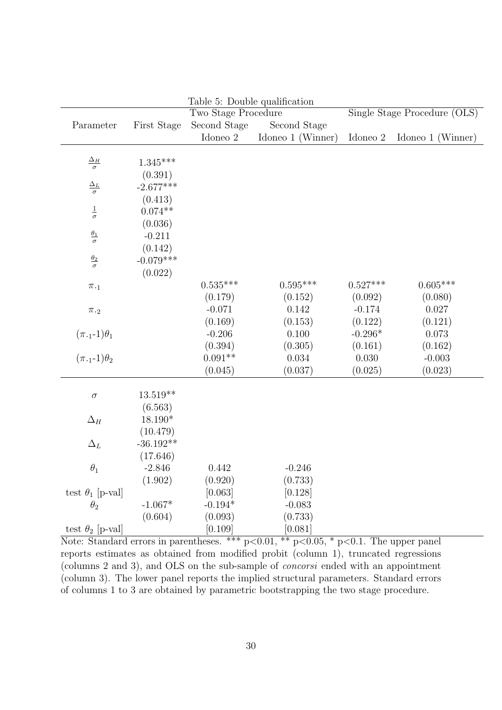|                               |             | Table 5: Double qualification |                   |            |                              |
|-------------------------------|-------------|-------------------------------|-------------------|------------|------------------------------|
|                               |             | Two Stage Procedure           |                   |            | Single Stage Procedure (OLS) |
| Parameter                     | First Stage | Second Stage                  | Second Stage      |            |                              |
|                               |             | Idoneo 2                      | Idoneo 1 (Winner) | Idoneo 2   | Idoneo 1 (Winner)            |
|                               |             |                               |                   |            |                              |
| $\frac{\Delta_H}{\sigma}$     | $1.345***$  |                               |                   |            |                              |
|                               | (0.391)     |                               |                   |            |                              |
| $\frac{\Delta_L}{\sigma}$     | $-2.677***$ |                               |                   |            |                              |
|                               | (0.413)     |                               |                   |            |                              |
| $\frac{1}{\sigma}$            | $0.074**$   |                               |                   |            |                              |
|                               | (0.036)     |                               |                   |            |                              |
| $\frac{\theta_1}{\sigma}$     | $-0.211$    |                               |                   |            |                              |
|                               | (0.142)     |                               |                   |            |                              |
| $\frac{\theta_2}{\sigma}$     | $-0.079***$ |                               |                   |            |                              |
|                               | (0.022)     |                               |                   |            |                              |
| $\pi._1$                      |             | $0.535***$                    | $0.595***$        | $0.527***$ | $0.605***$                   |
|                               |             | (0.179)                       | (0.152)           | (0.092)    | (0.080)                      |
| $\pi._2$                      |             | $-0.071$                      | 0.142             | $-0.174$   | 0.027                        |
|                               |             | (0.169)                       | (0.153)           | (0.122)    | (0.121)                      |
| $(\pi._1\text{-}1)\theta _1$  |             | $-0.206$                      | 0.100             | $-0.296*$  | 0.073                        |
|                               |             | (0.394)                       | (0.305)           | (0.161)    | (0.162)                      |
| $(\pi_{\cdot 1} - 1)\theta_2$ |             | $0.091**$                     | $\,0.034\,$       | 0.030      | $-0.003$                     |
|                               |             | (0.045)                       | (0.037)           | (0.025)    | (0.023)                      |
| $\sigma$                      | $13.519**$  |                               |                   |            |                              |
|                               | (6.563)     |                               |                   |            |                              |
| $\Delta_H$                    | 18.190*     |                               |                   |            |                              |
|                               | (10.479)    |                               |                   |            |                              |
| $\Delta_L$                    | $-36.192**$ |                               |                   |            |                              |
|                               | (17.646)    |                               |                   |            |                              |
| $\theta_1$                    | $-2.846$    | 0.442                         | $-0.246$          |            |                              |
|                               | (1.902)     | (0.920)                       | (0.733)           |            |                              |
| test $\theta_1$ [p-val]       |             | [0.063]                       | [0.128]           |            |                              |
| $\theta_2$                    | $-1.067*$   | $-0.194*$                     | $-0.083$          |            |                              |
|                               | (0.604)     | (0.093)                       | (0.733)           |            |                              |
| test $\theta_2$ [p-val]       |             | [0.109]                       | [0.081]           |            |                              |

Note: Standard errors in parentheses. \*\*\*  $p<0.01$ , \*\*  $p<0.05$ , \*  $p<0.1$ . The upper panel reports estimates as obtained from modified probit (column 1), truncated regressions (columns 2 and 3), and OLS on the sub-sample of concorsi ended with an appointment (column 3). The lower panel reports the implied structural parameters. Standard errors of columns 1 to 3 are obtained by parametric bootstrapping the two stage procedure.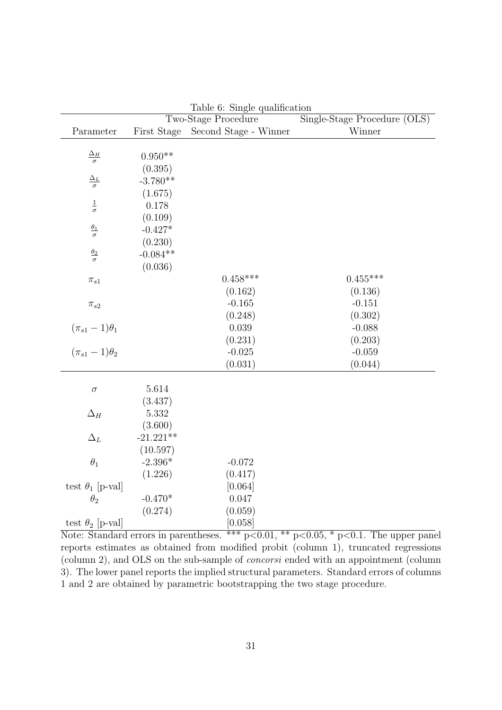|                           |                        | rapie o. pingie quanneauon<br>Two-Stage Procedure | Single-Stage Procedure (OLS) |
|---------------------------|------------------------|---------------------------------------------------|------------------------------|
| Parameter                 | First Stage            | Second Stage - Winner                             | Winner                       |
|                           |                        |                                                   |                              |
| $\frac{\Delta_H}{\sigma}$ | $0.950**$              |                                                   |                              |
|                           | (0.395)                |                                                   |                              |
| $\frac{\Delta_L}{\sigma}$ | $-3.780**$             |                                                   |                              |
|                           | (1.675)                |                                                   |                              |
| $\frac{1}{\sigma}$        | 0.178                  |                                                   |                              |
|                           | (0.109)                |                                                   |                              |
| $\frac{\theta_1}{\sigma}$ | $-0.427*$              |                                                   |                              |
|                           | (0.230)                |                                                   |                              |
| $\frac{\theta_2}{\sigma}$ | $-0.084**$             |                                                   |                              |
|                           | (0.036)                |                                                   |                              |
| $\pi_{s1}$                |                        | $0.458***$                                        | $0.455***$                   |
|                           |                        | (0.162)                                           | (0.136)                      |
| $\pi_{s2}$                |                        | $-0.165$                                          | $-0.151$                     |
|                           |                        | (0.248)                                           | (0.302)                      |
| $(\pi_{s1}-1)\theta_1$    |                        | $0.039\,$                                         | $-0.088$                     |
|                           |                        | (0.231)                                           | (0.203)                      |
| $(\pi_{s1}-1)\theta_2$    |                        | $-0.025$                                          | $-0.059$                     |
|                           |                        | (0.031)                                           | (0.044)                      |
|                           |                        |                                                   |                              |
| $\sigma$                  | 5.614                  |                                                   |                              |
|                           | (3.437)                |                                                   |                              |
| $\Delta_H$                | 5.332                  |                                                   |                              |
|                           | (3.600)<br>$-21.221**$ |                                                   |                              |
| $\Delta_L$                |                        |                                                   |                              |
| $\theta_1$                | (10.597)<br>$-2.396*$  | $-0.072$                                          |                              |
|                           | (1.226)                |                                                   |                              |
| test $\theta_1$ [p-val]   |                        | (0.417)<br>[0.064]                                |                              |
| $\theta_2$                | $-0.470*$              | 0.047                                             |                              |
|                           | (0.274)                | (0.059)                                           |                              |
| test $\theta_2$ [p-val]   |                        | [0.058]                                           |                              |

Table 6: Single qualification

Note: Standard errors in parentheses. \*\*\*  $p<0.01$ , \*\*  $p<0.05$ , \*  $p<0.1$ . The upper panel reports estimates as obtained from modified probit (column 1), truncated regressions (column 2), and OLS on the sub-sample of concorsi ended with an appointment (column 3). The lower panel reports the implied structural parameters. Standard errors of columns 1 and 2 are obtained by parametric bootstrapping the two stage procedure.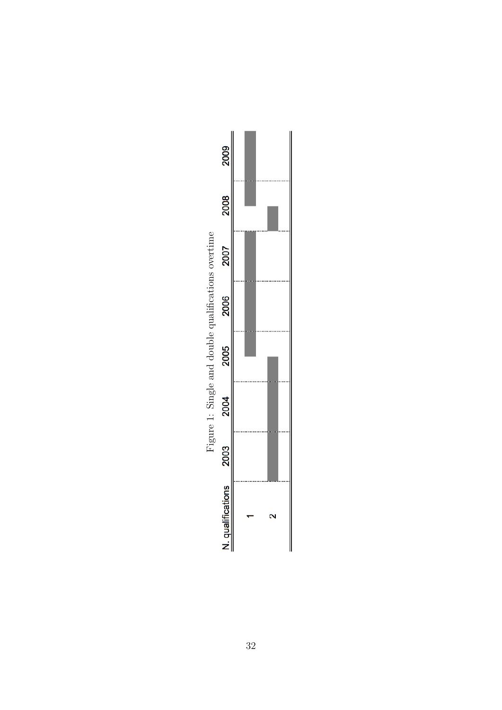

32